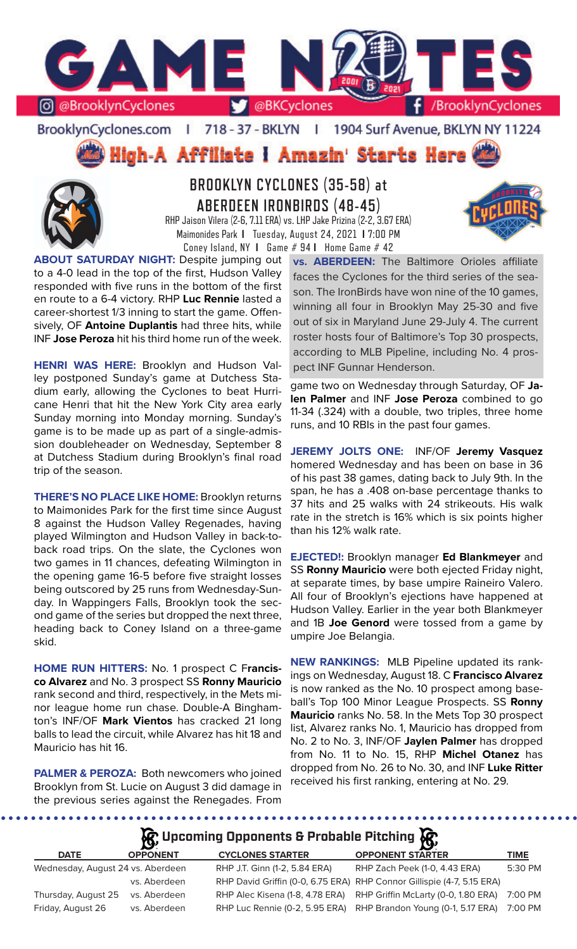

### BrooklynCyclones.com | 718 - 37 - BKLYN  $\mathbb{R}$ 1904 Surf Avenue, BKLYN NY 11224

High-A Affiliate I Amazin' Starts Here



# **BROOKLYN CYCLONES (35-58) at ABERDEEN IRONBIRDS (48-45)**

RHP Jaison Vilera (2-6, 7.11 ERA) vs. LHP Jake Prizina (2-2, 3.67 ERA) Maimonides Park **I** Tuesday, August 24, 2021 **I** 7:00 PM Coney Island, NY **I** Game # 94 **I** Home Game # 42

**ABOUT SATURDAY NIGHT:** Despite jumping out to a 4-0 lead in the top of the first, Hudson Valley responded with five runs in the bottom of the first en route to a 6-4 victory. RHP **Luc Rennie** lasted a career-shortest 1/3 inning to start the game. Offensively, OF **Antoine Duplantis** had three hits, while INF **Jose Peroza** hit his third home run of the week.

**HENRI WAS HERE:** Brooklyn and Hudson Valley postponed Sunday's game at Dutchess Stadium early, allowing the Cyclones to beat Hurricane Henri that hit the New York City area early Sunday morning into Monday morning. Sunday's game is to be made up as part of a single-admission doubleheader on Wednesday, September 8 at Dutchess Stadium during Brooklyn's final road trip of the season.

**THERE'S NO PLACE LIKE HOME:** Brooklyn returns to Maimonides Park for the first time since August 8 against the Hudson Valley Regenades, having played Wilmington and Hudson Valley in back-toback road trips. On the slate, the Cyclones won two games in 11 chances, defeating Wilmington in the opening game 16-5 before five straight losses being outscored by 25 runs from Wednesday-Sunday. In Wappingers Falls, Brooklyn took the second game of the series but dropped the next three, heading back to Coney Island on a three-game skid.

**HOME RUN HITTERS:** No. 1 prospect C F**rancisco Alvarez** and No. 3 prospect SS **Ronny Mauricio**  rank second and third, respectively, in the Mets minor league home run chase. Double-A Binghamton's INF/OF **Mark Vientos** has cracked 21 long balls to lead the circuit, while Alvarez has hit 18 and Mauricio has hit 16.

**PALMER & PEROZA:** Both newcomers who joined Brooklyn from St. Lucie on August 3 did damage in the previous series against the Renegades. From

**vs. ABERDEEN:** The Baltimore Orioles affiliate faces the Cyclones for the third series of the season. The IronBirds have won nine of the 10 games, winning all four in Brooklyn May 25-30 and five out of six in Maryland June 29-July 4. The current roster hosts four of Baltimore's Top 30 prospects, according to MLB Pipeline, including No. 4 prospect INF Gunnar Henderson.

game two on Wednesday through Saturday, OF **Jalen Palmer** and INF **Jose Peroza** combined to go 11-34 (.324) with a double, two triples, three home runs, and 10 RBIs in the past four games.

**JEREMY JOLTS ONE:** INF/OF **Jeremy Vasquez**  homered Wednesday and has been on base in 36 of his past 38 games, dating back to July 9th. In the span, he has a .408 on-base percentage thanks to 37 hits and 25 walks with 24 strikeouts. His walk rate in the stretch is 16% which is six points higher than his 12% walk rate.

**EJECTED!:** Brooklyn manager **Ed Blankmeyer** and SS **Ronny Mauricio** were both ejected Friday night, at separate times, by base umpire Raineiro Valero. All four of Brooklyn's ejections have happened at Hudson Valley. Earlier in the year both Blankmeyer and 1B **Joe Genord** were tossed from a game by umpire Joe Belangia.

**NEW RANKINGS:** MLB Pipeline updated its rankings on Wednesday, August 18. C **Francisco Alvarez**  is now ranked as the No. 10 prospect among baseball's Top 100 Minor League Prospects. SS **Ronny Mauricio** ranks No. 58. In the Mets Top 30 prospect list, Alvarez ranks No. 1, Mauricio has dropped from No. 2 to No. 3, INF/OF **Jaylen Palmer** has dropped from No. 11 to No. 15, RHP **Michel Otanez** has dropped from No. 26 to No. 30, and INF **Luke Ritter** received his first ranking, entering at No. 29.

# **Upcoming Opponents & Probable Pitching**

|                                   |                 |                               | $\sim$                                                                 |             |
|-----------------------------------|-----------------|-------------------------------|------------------------------------------------------------------------|-------------|
| <b>DATE</b>                       | <b>OPPONENT</b> | <b>CYCLONES STARTER</b>       | <b>OPPONENT STARTER</b>                                                | <b>TIME</b> |
| Wednesday, August 24 vs. Aberdeen |                 | RHP J.T. Ginn (1-2, 5.84 ERA) | RHP Zach Peek (1-0, 4.43 ERA)                                          | 5:30 PM     |
|                                   | vs. Aberdeen    |                               | RHP David Griffin (0-0, 6.75 ERA) RHP Connor Gillispie (4-7, 5.15 ERA) |             |
| Thursday, August 25               | vs. Aberdeen    |                               | RHP Alec Kisena (1-8, 4.78 ERA) RHP Griffin McLarty (0-0, 1.80 ERA)    | 7:00 PM     |
| Friday, August 26                 | vs. Aberdeen    |                               | RHP Luc Rennie (0-2, 5.95 ERA) RHP Brandon Young (0-1, 5.17 ERA)       | 7:00 PM     |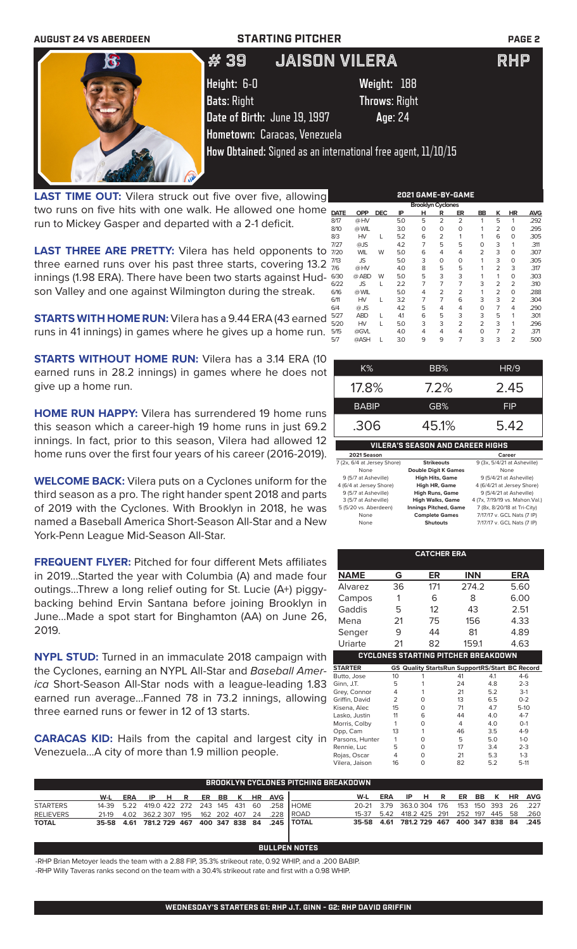| <b>AUGUST 24 VS ABERDEEN</b> | <b>STARTING PITCHER</b>      |                                                                        | <b>PAGE 2</b> |
|------------------------------|------------------------------|------------------------------------------------------------------------|---------------|
| $\mathbf{G}$                 | # 39                         | <b>JAISON VILERA</b>                                                   | <b>RHP</b>    |
|                              | Height: 6-0                  | Weight: 188                                                            |               |
|                              | <b>Bats: Right</b>           | <b>Throws: Right</b>                                                   |               |
|                              | Date of Birth: June 19, 1997 | Age: 24                                                                |               |
|                              | Hometown: Caracas, Venezuela |                                                                        |               |
|                              |                              | <b>How Obtained:</b> Signed as an international free agent, $11/10/15$ |               |
|                              |                              |                                                                        |               |

**LAST TIME OUT:** Vilera struck out five over five, allowing two runs on five hits with one walk. He allowed one home run to Mickey Gasper and departed with a 2-1 deficit.

**LAST THREE ARE PRETTY:** Vilera has held opponents to three earned runs over his past three starts, covering 13.2 innings (1.98 ERA). There have been two starts against Hudson Valley and one against Wilmington during the streak.

**STARTS WITH HOME RUN:** Vilera has a 9.44 ERA (43 earned runs in 41 innings) in games where he gives up a home run.

**STARTS WITHOUT HOME RUN:** Vilera has a 3.14 ERA (10 earned runs in 28.2 innings) in games where he does not give up a home run.

**HOME RUN HAPPY:** Vilera has surrendered 19 home runs this season which a career-high 19 home runs in just 69.2 innings. In fact, prior to this season, Vilera had allowed 12 home runs over the first four years of his career (2016-2019).

**WELCOME BACK:** Vilera puts on a Cyclones uniform for the third season as a pro. The right hander spent 2018 and parts of 2019 with the Cyclones. With Brooklyn in 2018, he was named a Baseball America Short-Season All-Star and a New York-Penn League Mid-Season All-Star.

**FREQUENT FLYER:** Pitched for four different Mets affiliates in 2019...Started the year with Columbia (A) and made four outings...Threw a long relief outing for St. Lucie (A+) piggybacking behind Ervin Santana before joining Brooklyn in June...Made a spot start for Binghamton (AA) on June 26, 2019.

**NYPL STUD:** Turned in an immaculate 2018 campaign with the Cyclones, earning an NYPL All-Star and *Baseball America* Short-Season All-Star nods with a league-leading 1.83 earned run average...Fanned 78 in 73.2 innings, allowing three earned runs or fewer in 12 of 13 starts.

**CARACAS KID:** Hails from the capital and largest city in Venezuela...A city of more than 1.9 million people.

| <b>Brooklyn Cyclones</b> |            |            |     |   |                |                |                |                |                |            |
|--------------------------|------------|------------|-----|---|----------------|----------------|----------------|----------------|----------------|------------|
| <b>DATE</b>              | <b>OPP</b> | <b>DEC</b> | IP  | н | R              | ER             | BB             | κ              | <b>HR</b>      | <b>AVG</b> |
| 8/17                     | @HV        |            | 5.0 | 5 | $\overline{2}$ | $\overline{2}$ | 1              | 5              | 1              | .292       |
| 8/10                     | @ WIL      |            | 3.0 | 0 | 0              | 0              |                | 2              | 0              | .295       |
| 8/3                      | <b>HV</b>  | L          | 5.2 | 6 | 2              | 1              |                | 6              | 0              | .305       |
| 7/27                     | @JS        |            | 4.2 | 7 | 5              | 5              | O              | 3              | 1              | .311       |
| 7/20                     | <b>WIL</b> | W          | 5.0 | 6 | 4              | 4              | 2              | 3              | 0              | .307       |
| 7/13                     | JS         |            | 5.0 | 3 | $\Omega$       | 0              |                | 3              | 0              | .305       |
| 7/6                      | @HV        |            | 4.0 | 8 | 5              | 5              |                | 2              | 3              | .317       |
| 6/30                     | @ ABD      | W          | 5.0 | 5 | 3              | 3              |                | 1              | 0              | .303       |
| 6/22                     | <b>JS</b>  | L          | 2.2 | 7 | $\overline{7}$ | $\overline{7}$ | 3              | 2              | $\overline{2}$ | .310       |
| 6/16                     | @ WIL      |            | 5.0 | 4 | $\overline{2}$ | $\overline{2}$ |                | 2              | $\Omega$       | .288       |
| 6/11                     | HV         | L          | 3.2 | 7 | 7              | 6              | 3              | 3              | $\overline{2}$ | .304       |
| 6/4                      | $@$ JS     |            | 4.2 | 5 | 4              | 4              | O              | $\overline{7}$ | 4              | .290       |
| 5/27                     | <b>ABD</b> | L          | 4.1 | 6 | 5              | 3              | 3              | 5              | 1              | .301       |
| 5/20                     | <b>HV</b>  | L          | 5.0 | 3 | 3              | $\overline{2}$ | $\overline{2}$ | 3              | 1              | .296       |
| 5/15                     | @GVL       |            | 4.0 | 4 | 4              | 4              | $\Omega$       | 7              | 2              | .371       |
| 5/7                      | @ASH       | L          | 3.0 | 9 | 9              | 7              | 3              | 3              | 2              | .500       |
|                          |            |            |     |   |                |                |                |                |                |            |

**2021 GAME-BY-GAME**

| $K\%$                                   | BB%     | HR/9          |  |  |  |  |
|-----------------------------------------|---------|---------------|--|--|--|--|
| 17.8%                                   | $7.2\%$ | 2.45          |  |  |  |  |
| <b>BABIP</b>                            | GB%     | <b>FIP</b>    |  |  |  |  |
| .306                                    | 45.1%   | 5.42          |  |  |  |  |
| <b>VILERA'S SEASON AND CAREER HIGHS</b> |         |               |  |  |  |  |
| <i>.</i>                                |         | $\sim$ $\sim$ |  |  |  |  |

| 2021 Season                 |                              | Career                          |
|-----------------------------|------------------------------|---------------------------------|
| 7 (2x, 6/4 at Jersey Shore) | <b>Strikeouts</b>            | 9 (3x, 5/4/21 at Asheville)     |
| None                        | <b>Double Digit K Games</b>  | None                            |
| 9 (5/7 at Asheville)        | <b>High Hits, Game</b>       | 9 (5/4/21 at Asheville)         |
| 4 (6/4 at Jersey Shore)     | <b>High HR, Game</b>         | 4 (6/4/21 at Jersey Shore)      |
| 9 (5/7 at Asheville)        | <b>High Runs, Game</b>       | 9 (5/4/21 at Asheville)         |
| 3 (5/7 at Asheville)        | <b>High Walks, Game</b>      | 4 (7x, 7/19/19 vs. Mahon. Val.) |
| 5 (5/20 vs. Aberdeen)       | <b>Innings Pitched, Game</b> | 7 (8x, 8/20/18 at Tri-City)     |
| None                        | <b>Complete Games</b>        | 7/17/17 v. GCL Nats (7 IP)      |
| None                        | <b>Shutouts</b>              | 7/17/17 v. GCL Nats (7 IP)      |

|                 |                | <b>CATCHER ERA</b>                                    |            |     |         |
|-----------------|----------------|-------------------------------------------------------|------------|-----|---------|
| <b>NAME</b>     | G              | ER                                                    | <b>INN</b> |     | ERA     |
| Alvarez         | 36             | 171                                                   | 274.2      |     | 5.60    |
| Campos          | 1              | 6                                                     | 8          |     | 6.00    |
| Gaddis          | 5              | 12                                                    | 43         |     | 2.51    |
| Mena            | 21             | 75                                                    | 156        |     | 4.33    |
| Senger          | 9              | 44                                                    | 81         |     | 4.89    |
| Uriarte         | 21             | 82                                                    | 159.1      |     | 4.63    |
|                 |                | <b>CYCLONES STARTING PITCHER BREAKDOWN</b>            |            |     |         |
| <b>STARTER</b>  |                | <b>GS Quality StartsRun SupportRS/Start BC Record</b> |            |     |         |
| Butto, Jose     | 10             | 1                                                     | 41         | 4.1 | $4-6$   |
| Ginn, J.T.      | 5              | 1                                                     | 24         | 4.8 | $2 - 3$ |
| Grey, Connor    | 4              | 1                                                     | 21         | 5.2 | $3-1$   |
| Griffin, David  | $\overline{2}$ | O                                                     | 13         | 6.5 | $0 - 2$ |
| Kisena, Alec    | 15             | 0                                                     | 71         | 4.7 | $5-10$  |
| Lasko, Justin   | 11             | 6                                                     | 44         | 4.0 | $4 - 7$ |
| Morris, Colby   | 1              | O                                                     | 4          | 4.0 | $O-1$   |
| Opp, Cam        | 13             | 1                                                     | 46         | 3.5 | $4 - 9$ |
| Parsons, Hunter | 1              | $\Omega$                                              | 5          | 5.0 | $1 - 0$ |
| Rennie, Luc     | 5              | $\Omega$                                              | 17         | 3.4 | $2 - 3$ |
| Rojas, Oscar    | 4              | 0                                                     | 21         | 5.3 | $1 - 3$ |
| Vilera, Jaison  | 16             | O                                                     | 82         | 5.2 | $5-11$  |

|                  | <b>BROOKLYN CYCLONES PITCHING BREAKDOWN</b> |  |  |  |  |  |  |  |  |                         |                                                             |                                              |  |  |  |  |  |
|------------------|---------------------------------------------|--|--|--|--|--|--|--|--|-------------------------|-------------------------------------------------------------|----------------------------------------------|--|--|--|--|--|
|                  | W-L                                         |  |  |  |  |  |  |  |  | ERA IP HR ER BB KHR AVG |                                                             | W-L ERA IP H R ER BB K HR AVG                |  |  |  |  |  |
| <b>STARTERS</b>  |                                             |  |  |  |  |  |  |  |  |                         | 14-39  5.22  419.0  422  272  243  145  431  60  .258  HOME | 20-21 3.79 363.0 304 176 153 150 393 26 .227 |  |  |  |  |  |
| <b>RELIEVERS</b> |                                             |  |  |  |  |  |  |  |  |                         | 21-19 4.02 362.2 307 195 162 202 407 24 .228 ROAD           | 15-37 5.42 418.2 425 291 252 197 445 58 .260 |  |  |  |  |  |
| <b>TOTAL</b>     |                                             |  |  |  |  |  |  |  |  |                         | 35-58 4.61 781.2 729 467 400 347 838 84 .245 TOTAL          | 35-58 4.61 781.2 729 467 400 347 838 84 .245 |  |  |  |  |  |

### **BULLPEN NOTES** -RHP Brian Metoyer leads the team with a 2.88 FIP, 35.3% strikeout rate, 0.92 WHIP, and a .200 BABIP.

-RHP Willy Taveras ranks second on the team with a 30.4% strikeout rate and first with a 0.98 WHIP.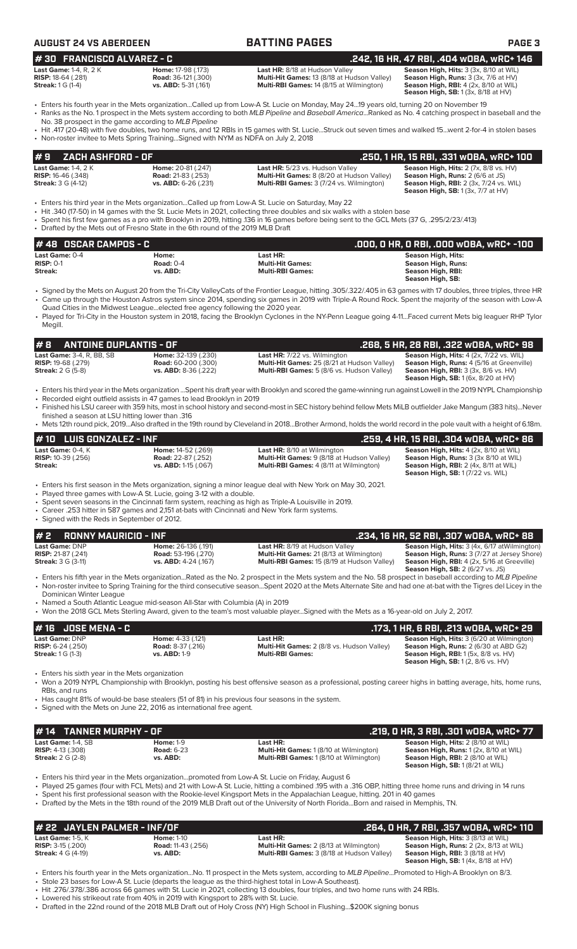| <b>AUGUST 24 VS ABERDEEN</b>     |                            | <b>BATTING PAGES</b>                            | <b>PAGE 3</b>                                |
|----------------------------------|----------------------------|-------------------------------------------------|----------------------------------------------|
| <b>#30 FRANCISCO ALVAREZ - C</b> |                            |                                                 | .242. 16 HR. 47 RBI. .404 WOBA. wRC+ 146     |
| Last Game: 1-4, $R$ , $2K$       | <b>Home: 17-98 (.173)</b>  | <b>Last HR:</b> 8/18 at Hudson Valley           | Season High, Hits: 3 (3x, 8/10 at WIL)       |
| <b>RISP:</b> 18-64 (.281)        | <b>Road:</b> 36-121 (.300) | Multi-Hit Games: 13 (8/18 at Hudson Valley)     | Season High, Runs: 3 (3x, 7/6 at HV)         |
| <b>Streak:</b> 1 G (1-4)         | vs. ABD: 5-31 (.161)       | <b>Multi-RBI Games: 14 (8/15 at Wilmington)</b> | <b>Season High, RBI: 4 (2x, 8/10 at WIL)</b> |

**Season High, RBI:** 4 (2x, 8/10 at WIL)<br>**Season High, RBI:** 4 (2x, 8/18 at WIL) **# 30 FRANCISCO ALVAREZ - C .242, 16 HR, 47 RBI, .404 wOBA, wRC+ 146**

• Enters his fourth year in the Mets organization...Called up from Low-A St. Lucie on Monday, May 24...19 years old, turning 20 on November 19 • Ranks as the No. 1 prospect in the Mets system according to both *MLB Pipeline* and *Baseball America*...Ranked as No. 4 catching prospect in baseball and the

- No. 38 prospect in the game according to *MLB Pipeline* • Hit .417 (20-48) with five doubles, two home runs, and 12 RBIs in 15 games with St. Lucie...Struck out seven times and walked 15...went 2-for-4 in stolen bases
	- Non-roster invitee to Mets Spring Training...Signed with NYM as NDFA on July 2, 2018

### **Last Game:** 1-4, 2 K **Home:** 20-81 (.247) **Last HR:** 5/23 vs. Hudson Valley **Season High, Hits:** 2 (7x, 8/8 vs. HV) **RISP:** 16-46 (.348) **Road:** 21-83 (.253) **Multi-Hit Games:** 8 (8/20 at Hudson Valley) **Season High, Runs:** 2 (6/6 at JS) **Streak:** 3 G (4-12) **vs. ABD:** 6-26 (.231) **Multi-RBI Games:** 3 (7/24 vs. Wilmington) **Season High, RBI:** 2 (3x, 7/24 vs. WIL) **Season High, SB:** 1 (3x, 7/7 at HV) **# 9 ZACH ASHFORD - OF .250, 1 HR, 15 RBI, .331 wOBA, wRC+ 100**

- Enters his third year in the Mets organization...Called up from Low-A St. Lucie on Saturday, May 22
- Hit .340 (17-50) in 14 games with the St. Lucie Mets in 2021, collecting three doubles and six walks with a stolen base
- Spent his first few games as a pro with Brooklyn in 2019, hitting .136 in 16 games before being sent to the GCL Mets (37 G, .295/2/23/.413)
- Drafted by the Mets out of Fresno State in the 6th round of the 2019 MLB Draft

| # 48 OSCAR CAMPOS - C |             |                         | .000. 0 HR. 0 RBI. .000 w0BA. wRC+ -100 |
|-----------------------|-------------|-------------------------|-----------------------------------------|
| <b>Last Game: 0-4</b> | Home:       | Last HR:                | Season High, Hits:                      |
| $RISP: 0-1$           | Road: $0-4$ | <b>Multi-Hit Games:</b> | Season High, Runs:                      |
| Streak:               | vs. ABD:    | <b>Multi-RBI Games:</b> | Season High, RBI:                       |
|                       |             |                         | Season High, SB:                        |

- Signed by the Mets on August 20 from the Tri-City ValleyCats of the Frontier League, hitting .305/.322/.405 in 63 games with 17 doubles, three triples, three HR • Came up through the Houston Astros system since 2014, spending six games in 2019 with Triple-A Round Rock. Spent the majority of the season with Low-A Quad Cities in the Midwest League...elected free agency following the 2020 year.
- Played for Tri-City in the Houston system in 2018, facing the Brooklyn Cyclones in the NY-Penn League going 4-11...Faced current Mets big leaguer RHP Tylor Megill.

**Streak:** 2 G (5-8) **vs. ABD:** 8-36 (.222) **Multi-RBI Games:** 5 (8/6 vs. Hudson Valley) **Season High, RBI:** 3 (3x, 8/6 vs. HV)

**# 8 ANTOINE DUPLANTIS - OF .268, 5 HR, 28 RBI, .322 wOBA, wRC+ 98 Last Game:** 3-4, R, BB, SB **Home:** 32-139 (.230) **Last HR:** 7/22 vs. Wilmington **Season High, Hits:** 4 (2x, 7/22 vs. WIL) **RISP:** 19-68 (.279) **Road:** 60-200 (.300) **Multi-Hit Games:** 25 (8/21 at Hudson Valley) **Season High, Runs:** 4 (5/16 at Greenville) **Season High, SB:** 1 (6x, 8/20 at HV)

- Enters his third year in the Mets organization ...Spent his draft year with Brooklyn and scored the game-winning run against Lowell in the 2019 NYPL Championship • Recorded eight outfield assists in 47 games to lead Brooklyn in 2019
- Finished his LSU career with 359 hits, most in school history and second-most in SEC history behind fellow Mets MiLB outfielder Jake Mangum (383 hits)...Never finished a season at LSU hitting lower than .316
- Mets 12th round pick, 2019...Also drafted in the 19th round by Cleveland in 2018...Brother Armond, holds the world record in the pole vault with a height of 6.18m.

### **Last Game:** 0-4, K **Home:** 14-52 (.269) **Last HR:** 8/10 at Wilmington **Season High, Hits:** 4 (2x, 8/10 at WIL) **Road: 22-87 (.252) <b>Road: Road: 22-87 (.252) Multi-Hit Games:** 9 (8/18 at Hudson Valley) **Season High, Runs:** <br> **Road: 22-87 (.252) <b>Multi-RBI Games:** 4 (8/11 at Wilmington) **Streak: vs. ABD:** 1-15 (.067) **Multi-RBI Games:** 4 (8/11 at Wilmington) **Season High, RBI:** 2 (4x, 8/11 at WIL) **Season High, SB:** 1 (7/22 vs. WIL) **# 10 LUIS GONZALEZ - INF .259, 4 HR, 15 RBI, .304 wOBA, wRC+ 86**

• Enters his first season in the Mets organization, signing a minor league deal with New York on May 30, 2021.

- Played three games with Low-A St. Lucie, going 3-12 with a double.
- Spent seven seasons in the Cincinnati farm system, reaching as high as Triple-A Louisville in 2019.
- Career .253 hitter in 587 games and 2,151 at-bats with Cincinnati and New York farm systems. • Signed with the Reds in September of 2012.

# **# 2 RONNY MAURICIO - INF .234, 16 HR, 52 RBI, .307 wOBA, wRC+ 88**

**Last Game:** DNP **Home:** 26-136 (.191) **Last HR:** 8/19 at Hudson Valley **Season High, Hits:** 3 (4x, 6/17 atWilmington) **RISP:** 21-87 (.241) **Road:** 53-196 (.270) **Multi-Hit Games:** 21 (8/13 at Wilmington) **Season High, Runs:** 3 (7/27 at Jersey Shore) **Streak:** 3 G (3-11) **vs. ABD:** 4-24 (.167) **Multi-RBI Games:** 15 (8/19 at Hudson Valley) **Season High, RBI:** 4 (2x, 5/16 at Greeville) **Streak:** 3 G (3-11) **vs. ABD:** 4-24 (.167) **Multi-RBI Games:** 15 (8/19 at Hudson Vall **Season High, SB:** 2 (6/27 vs. JS)

- Enters his fifth year in the Mets organization...Rated as the No. 2 prospect in the Mets system and the No. 58 prospect in baseball according to *MLB Pipeline* • Non-roster invitee to Spring Training for the third consecutive season...Spent 2020 at the Mets Alternate Site and had one at-bat with the Tigres del Licey in the Dominican Winter League
- Named a South Atlantic League mid-season All-Star with Columbia (A) in 2019
- Won the 2018 GCL Mets Sterling Award, given to the team's most valuable player...Signed with the Mets as a 16-year-old on July 2, 2017.

### **# 16 JOSE MENA - C .173, 1 HR, 6 RBI, .213 wOBA, wRC+ 29 Last Game: DNP Home:** 4-33 (.121) **Last HR: Season High, Hits:** 3 (6/20 at Wilmington) **Last HR: Season High, Hits:** 3 (6/20 at Wilmington) **Riseries: 2 (8/8 at Season High, Hits: 3** (6/30 at ABD G2) **Riseries: 2 (6/30 RISP:**  $6-24$  (.250) **Road:**  $8-37$  (.216) **Multi-Hit Games:** 2 (8/8 vs. Hudson Valley) **Streak:** 1 G (1-3) **Streak:** 1 G (1-3) **Streak:** 1 G (1-3) **vs. ABD:** 1-9 **Multi-RBI Games: Season High, RBI:** 1 (5x, 8/8 vs. HV) **Season High, SB:** 1 (2, 8/6 vs. HV)

• Enters his sixth year in the Mets organization

• Won a 2019 NYPL Championship with Brooklyn, posting his best offensive season as a professional, posting career highs in batting average, hits, home runs, RBIs, and runs

- Has caught 81% of would-be base stealers (51 of 81) in his previous four seasons in the system.
- Signed with the Mets on June 22, 2016 as international free agent.

| <i>H</i> 14 TANNER MURPHY - OF                                                 |                                                   |                                                                                                             | .219, 0 HR, 3 RBI, .301 w0BA, wRC+ 77                                                                                                                                            |
|--------------------------------------------------------------------------------|---------------------------------------------------|-------------------------------------------------------------------------------------------------------------|----------------------------------------------------------------------------------------------------------------------------------------------------------------------------------|
| Last Game: 1-4, SB<br><b>RISP:</b> $4-13$ $(.308)$<br><b>Streak:</b> 2 G (2-8) | <b>Home: 1-9</b><br><b>Road: 6-23</b><br>vs. ABD: | Last HR:<br><b>Multi-Hit Games:</b> 1 (8/10 at Wilmington)<br><b>Multi-RBI Games: 1(8/10 at Wilmington)</b> | <b>Season High, Hits: 2 (8/10 at WIL)</b><br><b>Season High, Runs:</b> 1 (2x, 8/10 at WIL)<br><b>Season High, RBI:</b> 2 (8/10 at WIL)<br><b>Season High, SB:</b> 1(8/21 at WIL) |

• Enters his third year in the Mets organization...promoted from Low-A St. Lucie on Friday, August 6

- Played 25 games (four with FCL Mets) and 21 with Low-A St. Lucie, hitting a combined .195 with a .316 OBP, hitting three home runs and driving in 14 runs
- Spent his first professional season with the Rookie-level Kingsport Mets in the Appalachian League, hitting. 201 in 40 games • Drafted by the Mets in the 18th round of the 2019 MLB Draft out of the University of North Florida...Born and raised in Memphis, TN.

| # 22 JAYLEN PALMER - INF/OF  |                           |                                                | .264. O HR. 7 RBI. .357 wOBA. wRC+ 110        |
|------------------------------|---------------------------|------------------------------------------------|-----------------------------------------------|
| <b>Last Game: 1-5. K</b>     | <b>Home: 1-10</b>         | Last HR:                                       | <b>Season High, Hits: 3 (8/13 at WIL)</b>     |
| <b>RISP:</b> $3-15$ $(.200)$ | <b>Road:</b> 11-43 (.256) | <b>Multi-Hit Games: 2 (8/13 at Wilmington)</b> | <b>Season High, Runs:</b> 2 (2x, 8/13 at WIL) |
| <b>Streak: 4 G (4-19)</b>    | vs. ABD:                  | Multi-RBI Games: 3 (8/18 at Hudson Valley)     | <b>Season High, RBI:</b> $3(8/18$ at $HV$ )   |
|                              |                           |                                                | <b>Season High, SB:</b> $1(4x, 8/18$ at HV)   |

• Enters his fourth year in the Mets organization...No. 11 prospect in the Mets system, according to *MLB Pipeline*...Promoted to High-A Brooklyn on 8/3. • Stole 23 bases for Low-A St. Lucie (departs the league as the third-highest total in Low-A Southeast).

• Hit .276/.378/.386 across 66 games with St. Lucie in 2021, collecting 13 doubles, four triples, and two home runs with 24 RBIs. Lowered his strikeout rate from 40% in 2019 with Kingsport to 28% with St. Lucie.

• Drafted in the 22nd round of the 2018 MLB Draft out of Holy Cross (NY) High School in Flushing...\$200K signing bonus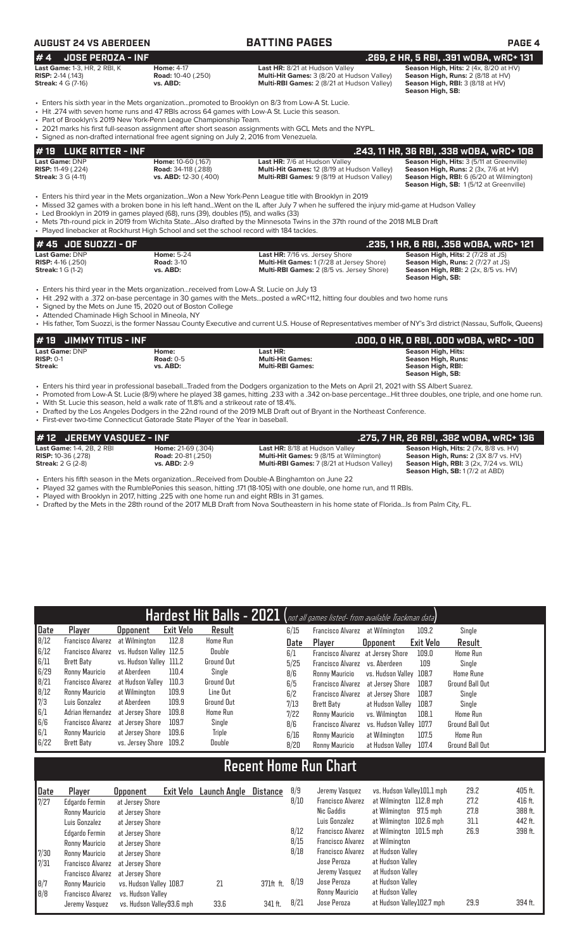## **AUGUST 24 VS ABERDEEN BATTING PAGES PAGE 4**

| <b>JOSE PEROZA - INF</b><br>#4                                                                                                                                |                                                            |                                                                                                                                                                                                                                                                                                                | .269. 2 HR. 5 RBI. .391 wOBA. wRC+ 131                                                                                             |
|---------------------------------------------------------------------------------------------------------------------------------------------------------------|------------------------------------------------------------|----------------------------------------------------------------------------------------------------------------------------------------------------------------------------------------------------------------------------------------------------------------------------------------------------------------|------------------------------------------------------------------------------------------------------------------------------------|
| Last Game: 1-3, HR, 2 RBI, K<br><b>RISP:</b> $2-14$ (.143)<br><b>Streak:</b> 4 G (7-16)                                                                       | <b>Home: 4-17</b><br><b>Road:</b> 10-40 (.250)<br>vs. ABD: | Last HR: 8/21 at Hudson Valley<br>Multi-Hit Games: 3 (8/20 at Hudson Valley)<br>Multi-RBI Games: 2 (8/21 at Hudson Valley)                                                                                                                                                                                     | Season High, Hits: 2 (4x, 8/20 at HV)<br>Season High, Runs: 2 (8/18 at HV)<br>Season High, RBI: 3 (8/18 at HV)<br>Season High, SB: |
| • Part of Brooklyn's 2019 New York-Penn League Championship Team.<br>• Signed as non-drafted international free agent signing on July 2, 2016 from Venezuela. |                                                            | . Enters his sixth year in the Mets organizationpromoted to Brooklyn on 8/3 from Low-A St. Lucie.<br>• Hit .274 with seven home runs and 47 RBIs across 64 games with Low-A St. Lucie this season.<br>• 2021 marks his first full-season assignment after short season assignments with GCL Mets and the NYPL. |                                                                                                                                    |
|                                                                                                                                                               |                                                            |                                                                                                                                                                                                                                                                                                                | 200 +70m ADD 32 100 1229 mpd 100 100                                                                                               |

| $\sharp$ 19 $\,$ LUKE RITTER - INF |                              |                                                    | , 243, 11 HR, 36 RBI, .338 wOBA, wRC+ 108. [           |
|------------------------------------|------------------------------|----------------------------------------------------|--------------------------------------------------------|
| <b>Last Game: DNP</b>              | <b>Home: 10-60 (.167)</b>    | <b>Last HR:</b> 7/6 at Hudson Valley               | <b>Season High, Hits: 3 (5/11 at Greenville)</b>       |
| <b>RISP:</b> 11-49 $(.224)$        | <b>Road:</b> 34-118 (.288)   | <b>Multi-Hit Games: 12 (8/19 at Hudson Valley)</b> | <b>Season High, Runs:</b> $2$ ( $3x$ , $7/6$ at $HV$ ) |
| <b>Streak:</b> 3 G (4-11)          | <b>vs. ABD:</b> 12-30 (.400) | <b>Multi-RBI Games:</b> 9 (8/19 at Hudson Valley)  | <b>Season High, RBI:</b> 6 (6/20 at Wilmington)        |
|                                    |                              |                                                    | <b>Season High, SB: 1(5/12 at Greenville)</b>          |

• Enters his third year in the Mets organization...Won a New York-Penn League title with Brooklyn in 2019

• Missed 32 games with a broken bone in his left hand...Went on the IL after July 7 when he suffered the injury mid-game at Hudson Valley

• Led Brooklyn in 2019 in games played (68), runs (39), doubles (15), and walks (33)

• Mets 7th-round pick in 2019 from Wichita State...Also drafted by the Minnesota Twins in the 37th round of the 2018 MLB Draft • Played linebacker at Rockhurst High School and set the school record with 184 tackles.

| $#$ 45 JOE SUOZZI - OF $\overline{ }$ |                   |                                                  | .235, 1 HR, 6 RBI, .358 wOBA, wRC+ 121                 |
|---------------------------------------|-------------------|--------------------------------------------------|--------------------------------------------------------|
| Last Game: DNP                        | <b>Home: 5-24</b> | <b>Last HR: 7/16 vs. Jersey Shore</b>            | <b>Season High, Hits: 2 (7/28 at JS)</b>               |
| <b>RISP:</b> $4-16$ (.250)            | <b>Road: 3-10</b> | <b>Multi-Hit Games: 1(7/28 at Jersey Shore)</b>  | <b>Season High, Runs: 2 (7/27 at JS)</b>               |
| <b>Streak:</b> $1 G (1-2)$            | vs. ABD:          | <b>Multi-RBI Games:</b> 2 (8/5 vs. Jersey Shore) | <b>Season High, RBI:</b> $2$ ( $2x$ , $8/5$ vs. $HV$ ) |
|                                       |                   |                                                  | Season High, SB:                                       |

• Enters his third year in the Mets organization...received from Low-A St. Lucie on July 13

• Hit .292 with a .372 on-base percentage in 30 games with the Mets...posted a wRC+112, hitting four doubles and two home runs

• Signed by the Mets on June 15, 2020 out of Boston College

• Attended Chaminade High School in Mineola, NY

• His father, Tom Suozzi, is the former Nassau County Executive and current U.S. House of Representatives member of NY's 3rd district (Nassau, Suffolk, Queens)

| $#19$ JIMMY TITUS - INF |             |                         | .000, 0 HR, 0 RBI, .000 w0BA, wRC+ -100 |
|-------------------------|-------------|-------------------------|-----------------------------------------|
| <b>Last Game: DNP</b>   | Home:       | Last HR:                | Season High, Hits:                      |
| $RISP: 0-1$             | Road: $0-5$ | <b>Multi-Hit Games:</b> | Season High, Runs:                      |
| Streak:                 | vs. ABD:    | <b>Multi-RBI Games:</b> | Season High, RBI:                       |
|                         |             |                         | Season High, SB:                        |

• Enters his third year in professional baseball...Traded from the Dodgers organization to the Mets on April 21, 2021 with SS Albert Suarez.

• Promoted from Low-A St. Lucie (8/9) where he played 38 games, hitting .233 with a .342 on-base percentage...Hit three doubles, one triple, and one home run.

• With St. Lucie this season, held a walk rate of 11.8% and a strikeout rate of 18.4%.

• Drafted by the Los Angeles Dodgers in the 22nd round of the 2019 MLB Draft out of Bryant in the Northeast Conference.

• First-ever two-time Connecticut Gatorade State Player of the Year in baseball.

| #12 JEREMY VASQUEZ - INF         |                           |                                                   | .275, 7 HR, 26 RBI, .382 wOBA, wRC+ 136       |
|----------------------------------|---------------------------|---------------------------------------------------|-----------------------------------------------|
| <b>Last Game: 1-4, 2B, 2 RBI</b> | <b>Home: 21-69 (.304)</b> | <b>Last HR: 8/18 at Hudson Valley</b>             | Season High, Hits: 2 (7x, 8/8 vs. HV)         |
| <b>RISP:</b> 10-36 (.278)        | <b>Road: 20-81 (.250)</b> | <b>Multi-Hit Games:</b> 9 (8/15 at Wilmington)    | Season High, Runs: 2 (3X 8/7 vs. HV)          |
| <b>Streak:</b> 2 G (2-8)         | <b>vs. ABD: 2-9</b>       | <b>Multi-RBI Games: 7 (8/21 at Hudson Valley)</b> | <b>Season High, RBI: 3 (2x, 7/24 vs. WIL)</b> |
|                                  |                           |                                                   | <b>Season High, SB: 1 (7/2 at ABD)</b>        |

• Enters his fifth season in the Mets organization...Received from Double-A Binghamton on June 22

• Played 32 games with the RumblePonies this season, hitting .171 (18-105) with one double, one home run, and 11 RBIs.<br>• Played with Brooklyn in 2017 hitting .225 with one home run and eight RBIs in 31 games Played with Brooklyn in 2017, hitting .225 with one home run and eight RBIs in 31 games.

• Drafted by the Mets in the 28th round of the 2017 MLB Draft from Nova Southeastern in his home state of Florida...Is from Palm City, FL.

|      |                          |                         |                  | Hardest Hit Balls - 2021 (not all games listed- from available Trackman data) |      |            |                          |                                   |           |                        |
|------|--------------------------|-------------------------|------------------|-------------------------------------------------------------------------------|------|------------|--------------------------|-----------------------------------|-----------|------------------------|
| Date | Player                   | <b>Upponent</b>         | <b>Exit Velo</b> | Result                                                                        | 6/15 |            | <b>Francisco Alvarez</b> | at Wilmington                     | 109.2     | Single                 |
| 8/12 | <b>Francisco Alvarez</b> | at Wilmington           | 112.8            | <b>Home Run</b>                                                               | Date | Player     |                          | <b>Opponent</b>                   | Exit Velo | Result                 |
| 6/12 | Francisco Alvarez        | vs. Hudson Vallev 112.5 |                  | Double                                                                        | 6/1  |            |                          | Francisco Alvarez at Jersey Shore | 109.0     | <b>Home Run</b>        |
| 6/11 | Brett Baty               | vs. Hudson Valley 111.2 |                  | <b>Ground Out</b>                                                             | 5/25 |            | Francisco Alvarez        | vs. Aberdeen                      | 109       | Single                 |
| 6/29 | Ronny Mauricio           | at Aberdeen             | 110.4            | Single                                                                        | 8/6  |            | Ronny Mauricio           | vs. Hudson Valley 108.7           |           | <b>Home Rune</b>       |
| 8/21 | Francisco Alvarez        | at Hudson Vallev        | 110.3            | Ground Out                                                                    | 6/5  |            | <b>Francisco Alvarez</b> | at Jersey Shore                   | 108.7     | <b>Ground Ball Out</b> |
| 8/12 | Ronny Mauricio           | at Wilmington           | 109.9            | Line Out                                                                      | 6/2  |            | <b>Francisco Alvarez</b> | at Jersev Shore                   | 108.7     | Single                 |
| 7/3  | Luis Gonzalez            | at Aberdeen             | 109.9            | Ground Out                                                                    | 7/13 | Brett Baty |                          | at Hudson Vallev                  | 108.7     | Single                 |
| 6/1  | Adrian Hernandez         | at Jersev Shore         | 109.8            | <b>Home Run</b>                                                               | 7/22 |            | Ronny Mauricio           | vs. Wilminaton                    | 108.1     | <b>Home Run</b>        |
| 6/6  | <b>Francisco Alvarez</b> | at Jersev Shore         | 109.7            | Single                                                                        | 8/6  |            | <b>Francisco Alvarez</b> | vs. Hudson Valley 107.7           |           | <b>Ground Ball Out</b> |
| 6/1  | Ronny Mauricio           | at Jersev Shore         | 109.6            | Triple                                                                        | 6/16 |            | Ronny Mauricio           | at Wilmington                     | 107.5     | <b>Home Run</b>        |
| 6/22 | Brett Baty               | vs. Jersey Shore        | 109.2            | Double                                                                        | 8/20 |            | Ronny Mauricio           | at Hudson Valley                  | 107.4     | <b>Ground Ball Out</b> |

# **Recent Home Run Chart**

| Date | Player            | <b>Opponent</b>           | Exit Velo | Launch Angle | Distance  | 8/9  | Jeremy Vasquez           | vs. Hudson Valley101.1 mph | 29.2 | 405 ft. |
|------|-------------------|---------------------------|-----------|--------------|-----------|------|--------------------------|----------------------------|------|---------|
| 7/27 | Edgardo Fermin    | at Jersey Shore           |           |              |           | 8/10 | <b>Francisco Alvarez</b> | at Wilmington 112.8 mph    | 27.2 | 416 ft. |
|      | Ronny Mauricio    | at Jersey Shore           |           |              |           |      | Nic Gaddis               | at Wilmington 97.5 mph     | 27.8 | 388 ft. |
|      | Luis Gonzalez     | at Jersey Shore           |           |              |           |      | Luis Gonzalez            | at Wilmington 102.6 mph    | 31.1 | 442 ft. |
|      | Edgardo Fermin    | at Jersey Shore           |           |              |           | 8/12 | <b>Francisco Alvarez</b> | at Wilmington 101.5 mph    | 26.9 | 398 ft. |
|      | Ronny Mauricio    | at Jersey Shore           |           |              |           | 8/15 | <b>Francisco Alvarez</b> | at Wilmington              |      |         |
| 7/30 | Ronny Mauricio    | at Jersev Shore           |           |              |           | 8/18 | <b>Francisco Alvarez</b> | at Hudson Valley           |      |         |
| 7/31 | Francisco Alvarez | at Jersev Shore           |           |              |           |      | Jose Peroza              | at Hudson Valley           |      |         |
|      | Francisco Alvarez | at Jersev Shore           |           |              |           |      | Jeremy Vasquez           | at Hudson Valley           |      |         |
| 8/7  | Ronny Mauricio    | vs. Hudson Valley 108.7   |           | 21           | 371ft ft. | 8/19 | Jose Peroza              | at Hudson Valley           |      |         |
| 8/8  | Francisco Alvarez | vs. Hudson Vallev         |           |              |           |      | Ronny Mauricio           | at Hudson Valley           |      |         |
|      | Jeremy Vasquez    | vs. Hudson Vallev93.6 mph |           | 33.6         | 341 ft.   | 8/21 | Jose Peroza              | at Hudson Valley102.7 mph  | 29.9 | 394 ft. |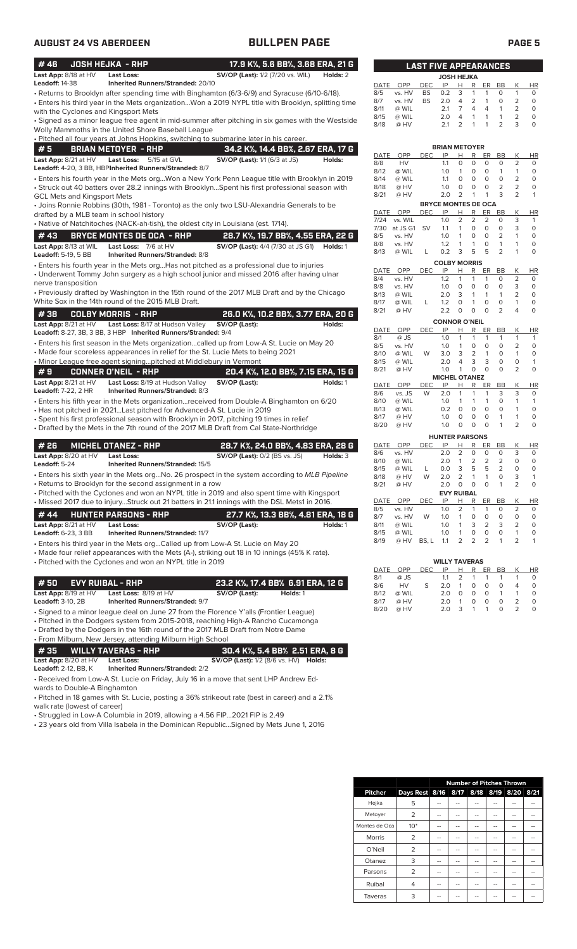| #46                                                 | <b>JOSH HEJKA - RHP</b>                                                                                                    | 17.9 K%, 5.6 BB%, 3.68 ERA, 21 G                                                                                                                                                       |          |
|-----------------------------------------------------|----------------------------------------------------------------------------------------------------------------------------|----------------------------------------------------------------------------------------------------------------------------------------------------------------------------------------|----------|
| Last App: 8/18 at HV                                | Last Loss:                                                                                                                 | <b>SV/OP (Last):</b> 1/2 (7/20 vs. WIL)                                                                                                                                                | Holds: 2 |
| Leadoff: 14-38                                      | <b>Inherited Runners/Stranded: 20/10</b>                                                                                   | · Returns to Brooklyn after spending time with Binghamton (6/3-6/9) and Syracuse (6/10-6/18).                                                                                          |          |
| with the Cyclones and Kingsport Mets                |                                                                                                                            | Enters his third year in the Mets organizationWon a 2019 NYPL title with Brooklyn, splitting time                                                                                      |          |
|                                                     | Wolly Mammoths in the United Shore Baseball League                                                                         | Signed as a minor league free agent in mid-summer after pitching in six games with the Westside •                                                                                      |          |
|                                                     | • Pitched all four years at Johns Hopkins, switching to submarine later in his career.                                     |                                                                                                                                                                                        |          |
| #5<br>Last App: 8/21 at HV                          | <b>BRIAN METOYER - RHP</b><br><b>Last Loss:</b><br>5/15 at GVL                                                             | 34.2 K%, 14.4 BB%, 2.67 ERA, 17 G<br>SV/OP (Last): 1/1 (6/3 at JS)                                                                                                                     | Holds:   |
|                                                     | Leadoff: 4-20, 3 BB, HBPInherited Runners/Stranded: 8/7                                                                    | Enters his fourth year in the Mets orgWon a New York Penn League title with Brooklyn in 2019                                                                                           |          |
| GCL Mets and Kingsport Mets                         |                                                                                                                            | · Struck out 40 batters over 28.2 innings with BrooklynSpent his first professional season with                                                                                        |          |
| drafted by a MLB team in school history             |                                                                                                                            | • Joins Ronnie Robbins (30th, 1981 - Toronto) as the only two LSU-Alexandria Generals to be                                                                                            |          |
|                                                     | • Native of Natchitoches (NACK-ah-tish), the oldest city in Louisiana (est. 1714).                                         |                                                                                                                                                                                        |          |
| # 43                                                | <b>BRYCE MONTES DE OCA - RHP</b>                                                                                           | 28.7 K%, 19.7 BB%, 4.55 ERA, 22 G                                                                                                                                                      |          |
| Last App: 8/13 at WIL<br><b>Leadoff:</b> 5-19, 5 BB | Last Loss: 7/6 at HV<br><b>Inherited Runners/Stranded: 8/8</b>                                                             | <b>SV/OP (Last):</b> 4/4 (7/30 at JS G1)                                                                                                                                               | Holds: 1 |
|                                                     |                                                                                                                            | • Enters his fourth year in the Mets orgHas not pitched as a professional due to injuries<br>• Underwent Tommy John surgery as a high school junior and missed 2016 after having ulnar |          |
| nerve transposition                                 |                                                                                                                            |                                                                                                                                                                                        |          |
|                                                     | White Sox in the 14th round of the 2015 MLB Draft.                                                                         | • Previously drafted by Washington in the 15th round of the 2017 MLB Draft and by the Chicago                                                                                          |          |
| #38                                                 | <b>COLBY MORRIS - RHP</b>                                                                                                  | 26.0 K%, 10.2 BB%, 3.77 ERA, 20 G                                                                                                                                                      |          |
| Last App: 8/21 at HV                                | Last Loss: 8/17 at Hudson Valley<br>Leadoff: 8-27, 3B, 3 BB, 3 HBP Inherited Runners/Stranded: 9/4                         | SV/OP (Last):                                                                                                                                                                          | Holds:   |
|                                                     | • Made four scoreless appearances in relief for the St. Lucie Mets to being 2021                                           | Enters his first season in the Mets organizationcalled up from Low-A St. Lucie on May 20                                                                                               |          |
|                                                     | • Minor League free agent signingpitched at Middlebury in Vermont                                                          |                                                                                                                                                                                        |          |
| #9                                                  | <b>CONNER O'NEIL - RHP</b>                                                                                                 | 20.4 K%, 12.0 BB%, 7.15 ERA, 15 G                                                                                                                                                      |          |
| Last App: 8/21 at HV<br>Leadoff: 7-22, 2 HR         | Last Loss: 8/19 at Hudson Valley<br>Inherited Runners/Stranded: 8/3                                                        | SV/OP (Last):                                                                                                                                                                          | Holds: 1 |
|                                                     | • Has not pitched in 2021Last pitched for Advanced-A St. Lucie in 2019                                                     | • Enters his fifth year in the Mets organizationreceived from Double-A Binghamton on 6/20                                                                                              |          |
|                                                     |                                                                                                                            | • Spent his first professional season with Brooklyn in 2017, pitching 19 times in relief                                                                                               |          |
|                                                     |                                                                                                                            | • Drafted by the Mets in the 7th round of the 2017 MLB Draft from Cal State-Northridge                                                                                                 |          |
| # 26                                                | <b>MICHEL OTANEZ - RHP</b>                                                                                                 | 28.7 K%, 24.0 BB%, 4.83 ERA, 28 G                                                                                                                                                      |          |
| Last App: 8/20 at HV<br>Leadoff: 5-24               | Last Loss:<br><b>Inherited Runners/Stranded: 15/5</b>                                                                      | <b>SV/OP (Last):</b> 0/2 (BS vs. JS)                                                                                                                                                   | Holds: 3 |
|                                                     | • Returns to Brooklyn for the second assignment in a row                                                                   | • Enters his sixth year in the Mets orgNo. 26 prospect in the system according to MLB Pipeline                                                                                         |          |
|                                                     |                                                                                                                            | • Pitched with the Cyclones and won an NYPL title in 2019 and also spent time with Kingsport                                                                                           |          |
|                                                     |                                                                                                                            | • Missed 2017 due to injuryStruck out 21 batters in 21.1 innings with the DSL Mets1 in 2016.                                                                                           |          |
| #44<br>Last App: 8/21 at HV                         | <b>HUNTER PARSONS - RHP</b><br>Last Loss:                                                                                  | 27.7 K%, 13.3 BB%, 4.81 ERA, 18 G<br>SV/OP (Last):                                                                                                                                     | Holds: 1 |
| Leadoff: 6-23, 3 BB                                 | <b>Inherited Runners/Stranded: 11/7</b><br>• Enters his third year in the Mets orgCalled up from Low-A St. Lucie on May 20 |                                                                                                                                                                                        |          |
|                                                     |                                                                                                                            | • Made four relief appearances with the Mets (A-), striking out 18 in 10 innings (45% K rate).                                                                                         |          |
|                                                     | • Pitched with the Cyclones and won an NYPL title in 2019                                                                  |                                                                                                                                                                                        |          |
| #50                                                 | <b>EVY RUIBAL - RHP</b>                                                                                                    | 23.2 K%, 17.4 BB% 6.91 ERA, 12 G                                                                                                                                                       |          |
| Last App: 8/19 at HV<br>Leadoff: 3-10, 2B           | Last Loss: 8/19 at HV<br><b>Inherited Runners/Stranded: 9/7</b>                                                            | SV/OP (Last):<br>Holds: 1                                                                                                                                                              |          |
|                                                     |                                                                                                                            | • Signed to a minor league deal on June 27 from the Florence Y'alls (Frontier League)                                                                                                  |          |
|                                                     | • Drafted by the Dodgers in the 16th round of the 2017 MLB Draft from Notre Dame                                           | • Pitched in the Dodgers system from 2015-2018, reaching High-A Rancho Cucamonga                                                                                                       |          |
| #35                                                 | • From Milburn, New Jersey, attending Milburn High School<br><b>WILLY TAVERAS - RHP</b>                                    | 30.4 K%, 5.4 BB% 2.51 ERA, 8 G                                                                                                                                                         |          |
| Last App: 8/20 at HV<br>Leadoff: 2-12, BB, K        | <b>Last Loss:</b><br><b>Inherited Runners/Stranded: 2/2</b>                                                                | <b>SV/OP (Last):</b> 1/2 (8/6 vs. HV) <b>Holds:</b>                                                                                                                                    |          |
|                                                     |                                                                                                                            | • Received from Low-A St. Lucie on Friday, July 16 in a move that sent LHP Andrew Ed-                                                                                                  |          |

wards to Double-A Binghamton

• Pitched in 18 games with St. Lucie, posting a 36% strikeout rate (best in career) and a 2.1% walk rate (lowest of career)

• Struggled in Low-A Columbia in 2019, allowing a 4.56 FIP...2021 FIP is 2.49

• 23 years old from Villa Isabela in the Dominican Republic...Signed by Mets June 1, 2016

|                    |               |            | <b>JOSH HEJKA</b>                |                     |                |                |                |                |                       |
|--------------------|---------------|------------|----------------------------------|---------------------|----------------|----------------|----------------|----------------|-----------------------|
| DATE               | OPP           | DEC        | IP                               | н                   | R              | ER             | <b>BB</b>      | Κ              | HR                    |
| 8/5                | vs. HV        | BS         | 0.2                              | 3                   | 1              | 1              | 0              | 1              | 0                     |
| 8/7                | vs. HV        | BS         | 2.0                              | 4                   | $\overline{c}$ | 1              | 0              | $\overline{c}$ | $\mathbf 0$           |
| 8/11               | @ WIL         |            | 2.1                              | 7                   | 4              | $\overline{4}$ | 1              | $\overline{2}$ | 0                     |
| 8/15               | @ WIL         |            | 2.0                              | 4                   | 1              | $\mathbf{1}$   | 1              | $\overline{2}$ | 0                     |
| 8/18               | @ HV          |            | 2.1                              | 2                   | 1              | 1              | 2              | 3              | 0                     |
|                    |               |            | <b>BRIAN METOYER</b>             |                     |                |                |                |                |                       |
| DATE               | OPP           | DEC        | IP                               | Н                   | R              | ER             | BB             | Κ              | HR                    |
| 8/8                | <b>HV</b>     |            | 1.1                              | $\circ$             | O              | 0              | 0              | 2              | 0                     |
| 8/12               | @ WIL         |            | 1.0                              | 1                   | 0              | 0              | 1              | 1              | 0                     |
| 8/14               | @ WIL         |            | 1.1                              | 0                   | 0              | 0              | 0              | $\overline{2}$ | 0                     |
| 8/18               | @ HV          |            | 1.0                              | 0                   | 0              | 0              | 2              | 2              | 0                     |
| 8/21               | @ HV          |            | 2.0                              | $\overline{2}$      | 1              | 1              | 3              | $\overline{2}$ | 1                     |
|                    | OPP           |            | <b>BRYCE MONTES DE OCA</b><br>IP |                     | R              | ER             | <b>BB</b>      |                |                       |
| DATE<br>7/24       | vs. WIL       | DEC        | 1.0                              | Н<br>$\overline{2}$ | $\overline{2}$ | $\overline{2}$ | O              | Κ<br>3         | HR<br>1               |
| 7/30               | at JS G1      | SV         | 1.1                              | 1                   | 0              | 0              | 0              | 3              | 0                     |
| 8/5                | vs. HV        |            | 1.0                              | 1                   | $\overline{O}$ | 0              | $\overline{2}$ | 1              | $\mathbf 0$           |
| 8/8                | vs. HV        |            | 1.2                              | 1                   | 1              | 0              | 1              | 1              | 0                     |
| 8/13               | @ WIL         | L          | 0.2                              | 3                   | 5              | 5              | 2              | 1              | 0                     |
|                    |               |            |                                  |                     |                |                |                |                |                       |
| DATE               | OPP           | <b>DEC</b> | <b>COLBY MORRIS</b><br>IP        | Н                   | R              | ER             | <b>BB</b>      | Κ              | HR                    |
| 8/4                | vs. HV        |            | 1.2                              | 1                   | 1              | 1              | 0              | $\overline{2}$ | 0                     |
| 8/8                | vs. HV        |            | 1.0                              | 0                   | 0              | 0              | 0              | 3              | 0                     |
| 8/13               | @ WIL         |            | 2.0                              | 3                   | 1              | 1              | 1              | $\overline{2}$ | 0                     |
| 8/17               | @ WIL         | L          | 1.2                              | 0                   | 1              | 0              | 0              | 1              | 0                     |
| 8/21               | @ HV          |            | 2.2                              | 0                   | 0              | 0              | 2              | 4              | 0                     |
|                    |               |            | <b>CONNOR O'NEIL</b>             |                     |                |                |                |                |                       |
| DATE               | OPP           | DEC        | IP                               | Н                   | R              | ER             | ВB             | Κ              | ΗR                    |
| 8/1                | @ JS          |            | 1.0                              | 1                   | 1              | 1              | 1              | 1              | 1                     |
| 8/5                | vs. HV        |            | 1.0                              | 1                   | 0              | O              | 0              | 2              | 0                     |
| 8/10               | @ WIL         | W          | 3.0                              | 3                   | $\overline{2}$ | 1              | 0              | 1              | 0                     |
| 8/15               | @ WIL         |            | 2.0                              | 4                   | 3              | 3              | 0              | O              | 1                     |
| 8/21               | @ HV          |            | 1.0<br><b>MICHEL OTANEZ</b>      | 1                   | 0              | 0              | 0              | $\overline{2}$ | 0                     |
| DATE               | OPP           | <b>DEC</b> | IP                               | Н                   | R              | ER             | BВ             | Κ              | $H\overline{R}$       |
| 8/6                | vs. JS        | W          | 2.0                              | 1                   | 1              | 1              | 3              | 3              | 0                     |
| 8/10               | @ WIL         |            | 1.0                              | 1                   | 1              | 1              | 0              | 1              | 1                     |
| 8/13               | @ WIL         |            | 0.2                              | 0                   | 0              | 0              | 0              | 1              | 0                     |
| 8/17               | @ HV          |            | 1.0                              | 0                   | 0              | 0              | 1              | 1              | O                     |
| 8/20               | @ HV          |            | 1.0                              | 0                   | 0              | 0              | 1              | $\overline{2}$ | 0                     |
|                    |               |            | <b>HUNTER PARSONS</b>            |                     |                |                |                |                |                       |
| DATE               | OPP           | DEC        | IP                               | Н                   | R              | ER             | <b>BB</b>      | Κ              | <b>HR</b>             |
| 8/6                | vs. HV        |            | 2.0                              | 2                   | 0              | 0              | 0              | 3              | 0                     |
| 8/10               | @ WIL         |            | 2.0                              | 1                   | $\overline{2}$ | $\overline{2}$ | $\overline{2}$ | 0              | 0                     |
| 8/15               | @ WIL         | L          | 0.0                              | 3                   | 5              | 5              | 2              | 0              | 0                     |
| 8/18               | @ HV          | W          | 2.0                              | 2                   | 1              | 1              | 0              | 3              | 1                     |
| 8/21               | @ HV          |            | 2.0                              | 0                   | 0              | 0              | 1              | 2              | 0                     |
|                    |               |            | <b>EVY RUIBAL</b>                |                     |                |                |                |                |                       |
| <b>DATE</b><br>8/5 | OPP<br>vs. HV | DEC        | IP<br>1.0                        | Н<br>2              | R<br>1         | ER<br>1        | <b>BB</b><br>0 | Κ<br>2         | $H\underline{R}$<br>0 |
| 8/7                | vs. HV        | W          | 1.0                              | 1                   | 0              | 0              | 0              | 0              | 0                     |
| 8/11               | @ WIL         |            | 1.0                              | 1                   | 3              | $\overline{2}$ | 3              | 2              | 0                     |
| 8/15               | @ WIL         |            | 1.0                              | 1                   | 0              | 0              | 0              | 1              | 0                     |
| 8/19               | @ HV          | BS, L      | 1.1                              | 2                   | $\overline{2}$ | 2              | 1              | $\overline{2}$ | 1                     |
|                    |               |            |                                  |                     |                |                |                |                |                       |
|                    |               |            | <b>WILLY TAVERAS</b>             |                     |                |                |                |                |                       |

**LAST FIVE APPEARANCES**

|      |           |     | <b>WILLY TAVERAS</b> |                |    |    |          |   |           |
|------|-----------|-----|----------------------|----------------|----|----|----------|---|-----------|
| DATE | OPP       | DEC | IP                   | н              | R  | ER | BB       | Κ | <b>HR</b> |
| 8/1  | @ JS      |     | 11                   | $\overline{2}$ | -1 | 1  |          |   | O         |
| 8/6  | <b>HV</b> | S   | 2 O                  | 1              | 0  | Ο  | O        | 4 | O         |
| 8/12 | @ WIL     |     | 2 O                  | Ω              | O  | Ο  | -1       |   | O         |
| 8/17 | @ HV      |     | 2.0                  |                | Ω  | Ω  | $\Omega$ |   |           |
| 8/20 | @ HV      |     | 20                   |                | 1  | 1  | O        |   |           |

|                |                |    |    |    |    | <b>Number of Pitches Thrown</b> |    |
|----------------|----------------|----|----|----|----|---------------------------------|----|
| <b>Pitcher</b> | Days Rest 8/16 |    |    |    |    | 8/17 8/18 8/19 8/20 8/21        |    |
| Hejka          | 5              |    |    |    |    |                                 |    |
| Metoyer        | $\overline{2}$ |    |    |    |    |                                 |    |
| Montes de Oca  | $10*$          |    | -- |    |    |                                 |    |
| <b>Morris</b>  | 2              | -- | -- |    |    | --                              |    |
| O'Neil         | $\overline{2}$ |    |    |    |    |                                 |    |
| Otanez         | 3              | -- |    | -- |    |                                 | -- |
| Parsons        | $\overline{2}$ | -- | -- |    |    |                                 |    |
| Ruibal         | 4              | -- | -- | -- | -- | --                              | -- |
| Taveras        | 3              |    |    |    |    |                                 |    |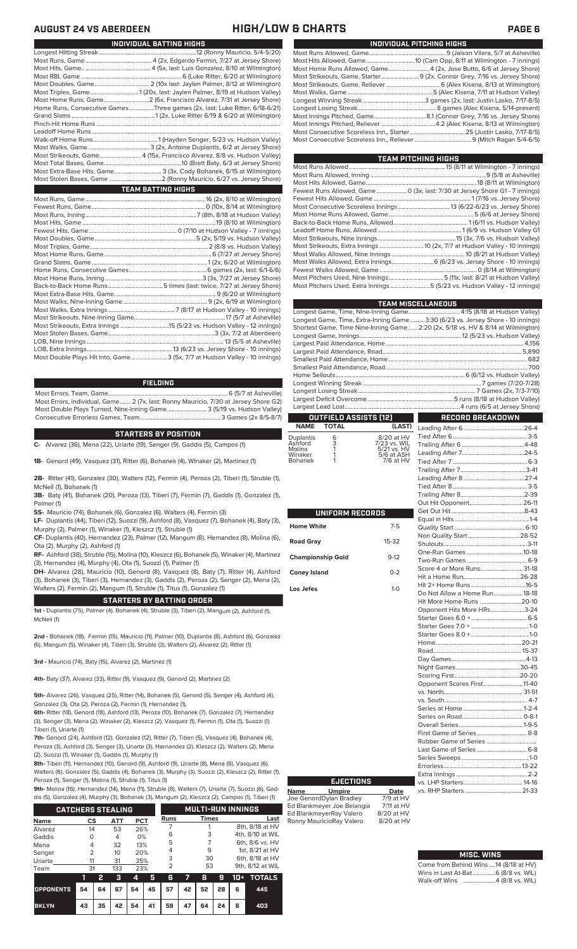### **AUGUST 24 VS ABERDEEN HIGH/LOW & CHARTS PAGE 6**

| INDIVIDUAL PITCHING HIGHS                                                 |
|---------------------------------------------------------------------------|
|                                                                           |
|                                                                           |
| Most Home Runs Allowed, Game 4 (2x, Jose Butto, 6/6 at Jersey Shore)      |
| Most Strikeouts, Game, Starter 9 (2x, Connor Grey, 7/16 vs. Jersey Shore) |
|                                                                           |
|                                                                           |
|                                                                           |
|                                                                           |
|                                                                           |
|                                                                           |
|                                                                           |
|                                                                           |
|                                                                           |

| TEAM PITCHING HIGHS                                                          |  |
|------------------------------------------------------------------------------|--|
|                                                                              |  |
|                                                                              |  |
|                                                                              |  |
| Fewest Runs Allowed, Game  0 (3x, last: 7/30 at Jersey Shore G1 - 7 innings) |  |
|                                                                              |  |
|                                                                              |  |
|                                                                              |  |
|                                                                              |  |
|                                                                              |  |
|                                                                              |  |
| Most Strikeouts, Extra Innings  10 (2x, 7/7 at Hudson Valley - 10 innings)   |  |
|                                                                              |  |
| Most Walks Allowed, Extra Innings 6 (6/23 vs. Jersey Shore - 10 innings)     |  |
|                                                                              |  |
|                                                                              |  |
| Most Pitchers Used, Extra Innings 5 (5/23 vs. Hudson Valley - 12 innings)    |  |

| <b>TEAM MISCELLANEOUS</b>                                                          |
|------------------------------------------------------------------------------------|
| Longest Game, Time, Nine-Inning Game 4:15 (8/18 at Hudson Valley)                  |
| Longest Game, Time, Extra-Inning Game3:30 (6/23 vs. Jersey Shore - 10 innings)     |
| Shortest Game, Time Nine-Inning Game.  2:20 (2x, 5/18 vs. HV & 8/14 at Wilmington) |
|                                                                                    |
|                                                                                    |
|                                                                                    |
|                                                                                    |
|                                                                                    |
|                                                                                    |
|                                                                                    |
|                                                                                    |
|                                                                                    |
|                                                                                    |
| RECORD BREAKDOWN                                                                   |
|                                                                                    |

### **OUTFIELD ASSISTS (12) NAME TOTAL (LAST)**

| 7/23 vs. WIL    |
|-----------------|
| $5/21$ vs. $HV$ |
| 5/6 at ASH      |
| 7/6 at HV       |
|                 |

| <b>UNIFORM RECORDS</b>   |          |
|--------------------------|----------|
| <b>Home White</b>        | $7 - 5$  |
| <b>Road Gray</b>         | 15-32    |
| <b>Championship Gold</b> | $9 - 12$ |
| <b>Coney Island</b>      | $0 - 2$  |
| Los Jefes                | $1 - 0$  |
|                          |          |
|                          |          |
|                          |          |
|                          |          |
|                          |          |

| ST)      |                               |  |
|----------|-------------------------------|--|
| HV       |                               |  |
| /IL      |                               |  |
| ٦V<br>SĤ |                               |  |
| ۲V       |                               |  |
|          |                               |  |
|          |                               |  |
|          |                               |  |
|          |                               |  |
|          |                               |  |
|          |                               |  |
|          |                               |  |
|          |                               |  |
|          |                               |  |
|          |                               |  |
|          |                               |  |
|          |                               |  |
|          | Score 4 or More Runs 31-18    |  |
|          |                               |  |
|          |                               |  |
|          | Do Not Allow a Home Run 18-18 |  |
|          | Hit More Home Runs 20-10      |  |
|          | Opponent Hits More HRs3-24    |  |
|          |                               |  |
|          |                               |  |
|          |                               |  |
|          |                               |  |
|          |                               |  |
|          |                               |  |
|          |                               |  |
|          |                               |  |
|          | Opponent Scores First 11-40   |  |
|          |                               |  |
|          |                               |  |
|          |                               |  |
|          |                               |  |
|          |                               |  |
|          |                               |  |
|          |                               |  |
|          | Last Game of Series  6-8      |  |
|          |                               |  |
|          |                               |  |
|          |                               |  |

**Name Umpire Date** Joe GenordDylan Bradley 7/9 at HV Ed Blankmeyer Joe Belangia 7/11 at HV Ed BlankmeyerRay Valero 8/20 at HV Ronny MauricioRay Valero 8/20 at HV

### **MISC. WINS**

|  | Come from Behind Wins 14 (8/18 at HV) |
|--|---------------------------------------|
|  |                                       |
|  |                                       |

| INDIVIDUAL BATTING HIGHS                                                    |
|-----------------------------------------------------------------------------|
|                                                                             |
|                                                                             |
|                                                                             |
|                                                                             |
|                                                                             |
| Most Triples, Game1 (20x, last: Jaylen Palmer, 8/19 at Hudson Valley)       |
| Most Home Runs, Game2 (6x, Francisco Alvarez, 7/31 at Jersey Shore)         |
| Home Runs, Consecutive Games Three games (2x, last: Luke Ritter, 6/18-6/21) |
|                                                                             |
|                                                                             |
|                                                                             |
|                                                                             |
|                                                                             |
| Most Strikeouts, Game 4 (15x, Francisco Alvarez, 8/8 vs. Hudson Valley)     |
|                                                                             |
| Most Extra-Base Hits, Game 3 (3x, Cody Bohanek, 6/15 at Wilmington)         |
|                                                                             |
| <b>TEAM BATTING HIGHS</b>                                                   |
|                                                                             |
|                                                                             |
|                                                                             |
|                                                                             |
|                                                                             |
|                                                                             |
|                                                                             |
|                                                                             |
|                                                                             |
|                                                                             |
|                                                                             |
|                                                                             |
|                                                                             |
|                                                                             |
|                                                                             |
|                                                                             |
| Most Strikeouts, Extra Innings 15 (5/23 vs. Hudson Valley - 12 innings)     |
|                                                                             |
|                                                                             |
| $100 \text{ F}$ $100 \text{ m}$ $100 \text{ m}$                             |

Lob, Extra Innings.<br>Most Double Plays Hit into, Game....... .3 (5x, 7/7 at Hudson Valley - 10 innings)

### **FIELDING**

Most Errors, Team, Game...............................................................................6 (5/7 at Asheville) Most Errors, Individual, Game....... 2 (7x, last: Ronny Mauricio, 7/30 at Jersey Shore G2) Most Double Plays Turned, Nine-Inning Game.......................... 3 (5/19 vs. Hudson Valley) Consecutive Errorless Games, Team...

### **STARTERS BY POSITION**

**C-** Alvarez (36), Mena (22), Uriarte (19), Senger (9), Gaddis (5), Campos (1)

**1B-** Genord (49), Vasquez (31), Ritter (6), Bohanek (4), Winaker (2), Martinez (1)

**2B-** Ritter (41), Gonzalez (30), Walters (12), Fermin (4), Peroza (2), Tiberi (1), Struble (1), McNeil (1), Bohanek (1)

**3B-** Baty (41), Bohanek (20), Peroza (13), Tiberi (7), Fermin (7), Gaddis (1), Gonzalez (1), Palmer (1)

- **SS-** Mauricio (74), Bohanek (6), Gonzalez (6), Walters (4), Fermin (3)
- **LF-** Duplantis (44), Tiberi (12), Suozzi (9), Ashford (8), Vasquez (7), Bohanek (4), Baty (3), Murphy (2), Palmer (1), Winaker (1), Kleszcz (1), Struble (1)

**CF-** Duplantis (40), Hernandez (23), Palmer (12), Mangum (8), Hernandez (8), Molina (6), Ota (2), Murphy (2), Ashford (1)

**RF-** Ashford (38), Struble (15), Molina (10), Kleszcz (6), Bohanek (5), Winaker (4), Martinez (3), Hernandez (4), Murphy (4), Ota (1), Suozzi (1), Palmer (1)

**DH-** Alvarez (28), Mauricio (10), Genord (8), Vasquez (8), Baty (7), Ritter (4), Ashford (3), Bohanek (3), Tiberi (3), Hernandez (3), Gaddis (2), Peroza (2), Senger (2), Mena (2), Walters (2), Fermin (2), Mangum (1), Struble (1), Titus (1), Gonzalez (1)

### **STARTERS BY BATTING ORDER**

**1st -** Duplantis (75), Palmer (4). Bohanek (4), Struble (3), Tiberi (2), Mangum (2), Ashford (1), McNeil (1)

**2nd -** Bohanek (18), Fermin (15), Mauricio (11), Palmer (10), Duplantis (8), Ashford (6), Gonzalez (6), Mangum (5), Winaker (4), Tiberi (3), Struble (3), Walters (2), Alvarez (2), Ritter (1)

**3rd -** Mauricio (74), Baty (15), Alvarez (2), Martinez (1)

**4th-** Baty (37), Alvarez (33), Ritter (9), Vasquez (9), Genord (2), Martinez (2)

**5th-** Alvarez (26), Vasquez (25), Ritter (14), Bohanek (5), Genord (5), Senger (4), Ashford (4), Gonzalez (3), Ota (2), Peroza (2), Fermin (1), Hernandez (1),

**6th-** Ritter (18), Genord (18), Ashford (13), Peroza (10), Bohanek (7), Gonzalez (7), Hernandez (3), Senger (3), Mena (2), Winaker (2), Kleszcz (2), Vasquez (1), Fermin (1), Ota (1), Suozzi (1) Tiberi (1), Uriarte (1)

**7th-** Genord (24), Ashford (12), Gonzalez (12), Ritter (7), Tiberi (5), Vasquez (4), Bohanek (4), Peroza (3), Ashford (3), Senger (3), Uriarte (3), Hernandez (2), Kleszcz (2), Walters (2), Mer (2), Suozzi (1), Winaker (1), Gaddis (1), Murphy (1)

**8th-** Tiberi (11), Hernandez (10), Genord (9), Ashford (9), Uriarte (8), Mena (8), Vasquez (6), Walters (6), Gonzalez (5), Gaddis (4), Bohanek (3), Murphy (3), Suozzi (2), Kleszcz (2), Ritter (1), Peroza (1), Senger (1), Molina (1), Struble (1), Titus (1)

**9th-** Molina (16), Hernandez (14), Mena (11), Struble (8), Walters (7), Uriarte (7), Suozzi (6), Gad-

| dis (5), Gonzalez (4), Murphy (3), Bohanek (3), Mangum (2), Kleszcz (2), Campos (1), Tiberi (1) |                |    |            |            |    |                |    |                          |    |                 |                  |
|-------------------------------------------------------------------------------------------------|----------------|----|------------|------------|----|----------------|----|--------------------------|----|-----------------|------------------|
| <b>CATCHERS STEALING</b>                                                                        |                |    |            |            |    |                |    | <b>MULTI-RUN INNINGS</b> |    |                 |                  |
| <b>Name</b>                                                                                     | CS             |    | <b>ATT</b> | <b>PCT</b> |    | <b>Runs</b>    |    | <b>Times</b>             |    |                 | Last             |
| Alvarez                                                                                         | 14             |    | 53         | 26%        |    |                |    |                          |    |                 | 8th, 8/18 at HV  |
| Gaddis                                                                                          | Ω              |    | 4          | 0%         |    | 6              |    | 3                        |    |                 | 4th, 8/10 at WIL |
| Mena                                                                                            | 4              |    | 32         | 13%        |    | 5              |    |                          |    | 6th, 8/6 vs. HV |                  |
| Senger                                                                                          | $\overline{2}$ |    | 10         | 20%        |    | 4              |    | 9                        |    |                 | 1st. 8/21 at HV  |
| Uriarte                                                                                         | 11             |    | 31         | 35%        |    | 3              |    | 30                       |    |                 | 6th, 8/18 at HV  |
| Team                                                                                            | 31             |    | 133<br>23% |            |    | $\overline{2}$ |    | 53                       |    |                 | 9th, 8/12 at WIL |
|                                                                                                 | 1              | 2  | з          | 4          | 5  | 6              | 7  | 8                        | 9  | $10+$           | <b>TOTALS</b>    |
| <b>OPPONENTS</b>                                                                                | 54             | 64 | 67         | 54         | 45 | 57             | 42 | 52                       | 28 | 6               | 445              |
| <b>BKLYN</b>                                                                                    | 43             | 35 | 42         | 54         | 41 | 59             | 47 | 64                       | 24 | 6               | 403              |

# **EJECTIONS**

Extra Innings. vs. LHP Starters.......................................14-16 vs. RHP Starters ...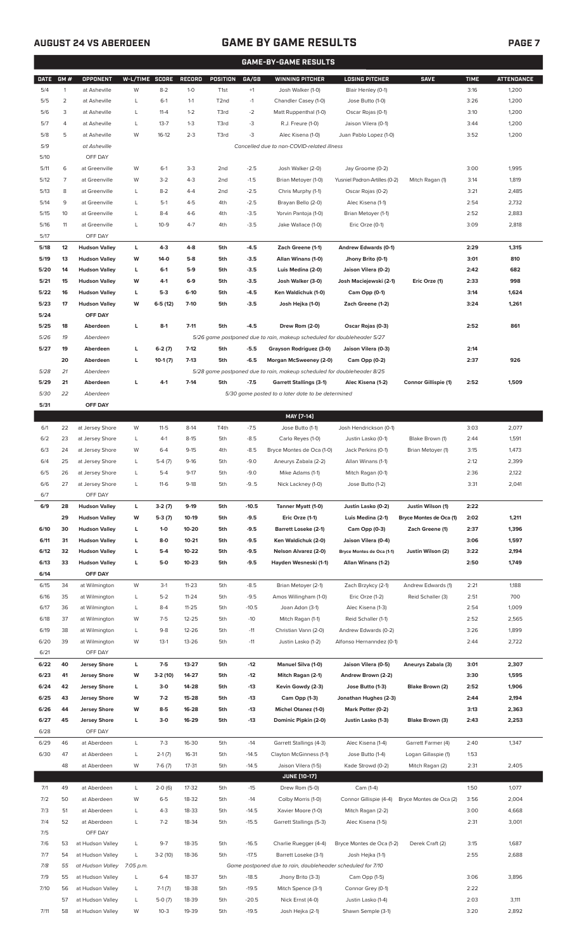### **AUGUST 24 VS ABERDEEN GAME BY GAME RESULTS**

|--|

|              | <b>GAME-BY-GAME RESULTS</b> |                                              |                |                     |                    |                  |                    |                                                                         |                                                 |                                           |              |                   |
|--------------|-----------------------------|----------------------------------------------|----------------|---------------------|--------------------|------------------|--------------------|-------------------------------------------------------------------------|-------------------------------------------------|-------------------------------------------|--------------|-------------------|
| <b>DATE</b>  | GM#                         | <b>OPPONENT</b>                              | W-L/TIME SCORE |                     | <b>RECORD</b>      | POSITION         | GA/GB              | <b>WINNING PITCHER</b>                                                  | <b>LOSING PITCHER</b>                           | <b>SAVE</b>                               | <b>TIME</b>  | <b>ATTENDANCE</b> |
| 5/4          | $\mathbf{1}$                | at Asheville                                 | W              | $8 - 2$             | $1 - 0$            | T <sub>1st</sub> | $+1$               | Josh Walker (1-0)                                                       | Blair Henley (0-1)                              |                                           | 3:16         | 1,200             |
| 5/5          | $\overline{2}$              | at Asheville                                 | L              | $6-1$               | $1 - 1$            | T2nd             | $-1$               | Chandler Casey (1-0)                                                    | Jose Butto (1-0)                                |                                           | 3:26         | 1,200             |
| 5/6          | 3                           | at Asheville                                 | L              | $11 - 4$            | $1 - 2$            | T3rd             | $-2$               | Matt Ruppenthal (1-0)                                                   | Oscar Rojas (0-1)                               |                                           | 3:10         | 1,200             |
| 5/7          | 4                           | at Asheville                                 | L              | $13 - 7$            | $1 - 3$            | T3rd             | -3                 | R.J. Freure (1-0)                                                       | Jaison Vilera (0-1)                             |                                           | 3:44         | 1,200             |
| 5/8          | 5                           | at Asheville                                 | W              | $16-12$             | $2 - 3$            | T3rd             | -3                 | Alec Kisena (1-0)                                                       | Juan Pablo Lopez (1-0)                          |                                           | 3:52         | 1,200             |
| 5/9          |                             | at Asheville                                 |                |                     |                    |                  |                    | Cancelled due to non-COVID-related illness                              |                                                 |                                           |              |                   |
| 5/10         |                             | OFF DAY                                      |                |                     |                    |                  |                    |                                                                         |                                                 |                                           |              |                   |
| 5/11         | 6                           | at Greenville                                | W              | $6-1$               | $3-3$              | 2nd              | $-2.5$             | Josh Walker (2-0)                                                       | Jay Groome (0-2)                                |                                           | 3:00         | 1,995             |
| 5/12         | $\overline{7}$              | at Greenville                                | W              | $3 - 2$             | $4 - 3$            | 2 <sub>nd</sub>  | $-1.5$             | Brian Metoyer (1-0)                                                     | Yusniel Padron-Artilles (0-2)                   | Mitch Ragan (1)                           | 3:14         | 1,819             |
| 5/13         | 8                           | at Greenville                                | L              | $8 - 2$             | $4 - 4$            | 2 <sub>nd</sub>  | $-2.5$             | Chris Murphy (1-1)                                                      | Oscar Rojas (0-2)                               |                                           | 3:21         | 2,485             |
| 5/14<br>5/15 | 9<br>10                     | at Greenville<br>at Greenville               | L<br>L         | $5-1$<br>$8 - 4$    | $4 - 5$<br>$4-6$   | 4th<br>4th       | $-2.5$<br>$-3.5$   | Brayan Bello (2-0)<br>Yorvin Pantoja (1-0)                              | Alec Kisena (1-1)<br>Brian Metoyer (1-1)        |                                           | 2:54<br>2:52 | 2,732<br>2,883    |
| 5/16         | 11                          | at Greenville                                | L              | $10-9$              | $4 - 7$            | 4th              | $-3.5$             | Jake Wallace (1-0)                                                      | Eric Orze (0-1)                                 |                                           | 3:09         | 2,818             |
| 5/17         |                             | OFF DAY                                      |                |                     |                    |                  |                    |                                                                         |                                                 |                                           |              |                   |
| 5/18         | 12                          | <b>Hudson Valley</b>                         | L              | $4 - 3$             | $4 - 8$            | 5th              | $-4.5$             | Zach Greene (1-1)                                                       | Andrew Edwards (0-1)                            |                                           | 2:29         | 1,315             |
| 5/19         | 13                          | <b>Hudson Valley</b>                         | W              | $14-0$              | $5-8$              | 5th              | $-3.5$             | Allan Winans (1-0)                                                      | Jhony Brito (0-1)                               |                                           | 3:01         | 810               |
| 5/20         | 14                          | <b>Hudson Valley</b>                         | L              | $6-1$               | $5-9$              | 5th              | $-3.5$             | Luis Medina (2-0)                                                       | Jaison Vilera (0-2)                             |                                           | 2:42         | 682               |
| 5/21         | 15                          | <b>Hudson Valley</b>                         | W              | 4-1                 | $6-9$              | 5th              | $-3.5$             | Josh Walker (3-0)                                                       | Josh Maciejewski (2-1)                          | Eric Orze (1)                             | 2:33         | 998               |
| 5/22         | 16                          | <b>Hudson Valley</b>                         | L              | $5-3$               | $6-10$             | 5th              | $-4.5$             | Ken Waldichuk (1-0)                                                     | Cam Opp (0-1)                                   |                                           | 3:14         | 1,624             |
| 5/23         | 17                          | <b>Hudson Valley</b>                         | W              | $6-5(12)$           | $7-10$             | 5th              | $-3.5$             | Josh Hejka (1-0)                                                        | Zach Greene (1-2)                               |                                           | 3:24         | 1,261             |
| 5/24         |                             | OFF DAY                                      |                |                     |                    |                  |                    |                                                                         |                                                 |                                           |              |                   |
| 5/25         | 18                          | Aberdeen                                     | L              | $8-1$               | $7 - 11$           | 5th              | $-4.5$             | Drew Rom (2-0)                                                          | Oscar Rojas (0-3)                               |                                           | 2:52         | 861               |
| 5/26         | 19                          | Aberdeen                                     |                |                     |                    |                  |                    | 5/26 game postponed due to rain, makeup scheduled for doubleheader 5/27 |                                                 |                                           |              |                   |
| 5/27         | 19                          | Aberdeen                                     | L              | $6-2(7)$            | $7-12$             | 5th              | $-5.5$             | Grayson Rodriguez (3-0)                                                 | Jaison Vilera (0-3)                             |                                           | 2:14         |                   |
|              | 20                          | Aberdeen                                     | L              | $10-1(7)$           | $7-13$             | 5th              | $-6.5$             | Morgan McSweeney (2-0)                                                  | Cam Opp (0-2)                                   |                                           | 2:37         | 926               |
| 5/28         | 21                          | Aberdeen                                     |                |                     |                    |                  |                    | 5/28 game postponed due to rain, makeup scheduled for doubleheader 8/25 |                                                 |                                           |              |                   |
| 5/29         | 21                          | Aberdeen                                     | L              | $4-1$               | $7-14$             | 5th              | $-7.5$             | <b>Garrett Stallings (3-1)</b>                                          | Alec Kisena (1-2)                               | Connor Gillispie (1)                      | 2:52         | 1,509             |
| 5/30<br>5/31 | 22                          | Aberdeen<br>OFF DAY                          |                |                     |                    |                  |                    | 5/30 game posted to a later date to be determined                       |                                                 |                                           |              |                   |
|              |                             |                                              |                |                     |                    |                  |                    | MAY [7-14]                                                              |                                                 |                                           |              |                   |
| 6/1          | 22                          | at Jersey Shore                              | W              | $11 - 5$            | $8-14$             | T4th             | $-7.5$             | Jose Butto (1-1)                                                        | Josh Hendrickson (0-1)                          |                                           | 3:03         | 2,077             |
| 6/2          | 23                          | at Jersey Shore                              | L              | $4-1$               | $8-15$             | 5th              | $-8.5$             | Carlo Reyes (1-0)                                                       | Justin Lasko (0-1)                              | Blake Brown (1)                           | 2:44         | 1,591             |
| 6/3          | 24                          | at Jersey Shore                              | W              | $6 - 4$             | $9 - 15$           | 4th              | $-8.5$             | Bryce Montes de Oca (1-0)                                               | Jack Perkins (0-1)                              | Brian Metoyer (1)                         | 3:15         | 1,473             |
| 6/4          | 25                          | at Jersey Shore                              | L              | $5-4(7)$            | $9-16$             | 5th              | $-9.0$             | Aneurys Zabala (2-2)                                                    | Allan Winans (1-1)                              |                                           | 2:12         | 2,399             |
| 6/5          | 26                          | at Jersey Shore                              | L              | $5 - 4$             | $9 - 17$           | 5th              | $-9.0$             | Mike Adams (1-1)                                                        | Mitch Ragan (0-1)                               |                                           | 2:36         | 2,122             |
| 6/6          | 27                          | at Jersey Shore                              | L              | $11-6$              | $9-18$             | 5th              | $-9.5$             | Nick Lackney (1-0)                                                      | Jose Butto (1-2)                                |                                           | 3:31         | 2,041             |
| 6/7          |                             | OFF DAY                                      |                |                     |                    |                  |                    |                                                                         |                                                 |                                           |              |                   |
| 6/9          | 28                          | <b>Hudson Valley</b>                         | L              | $3-2(7)$            | $9-19$             | 5th              | $-10.5$            | Tanner Myatt (1-0)                                                      | Justin Lasko (0-2)                              | Justin Wilson (1)                         | 2:22         |                   |
|              | 29                          | <b>Hudson Valley</b>                         | W              | $5-3(7)$            | 10-19              | 5th              | $-9.5$             | Eric Orze (1-1)                                                         | Luis Medina (2-1)                               | Bryce Montes de Oca (1)                   | 2:02         | 1,211             |
| 6/10         | 30                          | <b>Hudson Valley</b>                         | L              | $1-0$               | 10-20              | 5th              | $-9.5$             | <b>Barrett Loseke (2-1)</b>                                             | Cam Opp (0-3)                                   | Zach Greene (1)                           | 2:37         | 1,396             |
| 6/11         | 31                          | <b>Hudson Valley</b>                         | г              | 8-0                 | 10-21              | 5th              | $-9.5$             | Ken Waldichuk (2-0)                                                     | Jaison Vilera (0-4)                             |                                           | 3:06         | 1,597             |
| 6/12         | 32                          | <b>Hudson Valley</b><br><b>Hudson Valley</b> | г<br>г         | $5-4$<br>$5-0$      | 10-22<br>$10 - 23$ | 5th              | $-9.5$<br>$-9.5$   | Nelson Alvarez (2-0)                                                    | Bryce Montes de Oca (1-1)<br>Allan Winans (1-2) | Justin Wilson (2)                         | 3:22<br>2:50 | 2,194<br>1,749    |
| 6/13<br>6/14 | 33                          | OFF DAY                                      |                |                     |                    | 5th              |                    | Hayden Wesneski (1-1)                                                   |                                                 |                                           |              |                   |
| 6/15         | 34                          | at Wilmington                                | W              | $3-1$               | $11 - 23$          | 5th              | $-8.5$             | Brian Metoyer (2-1)                                                     | Zach Brzykcy (2-1)                              | Andrew Edwards (1)                        | 2:21         | 1,188             |
| 6/16         | 35                          | at Wilmington                                | L              | $5 - 2$             | $11 - 24$          | 5th              | $-9.5$             | Amos Willingham (1-0)                                                   | Eric Orze (1-2)                                 | Reid Schaller (3)                         | 2:51         | 700               |
| 6/17         | 36                          | at Wilmington                                | L              | $8-4$               | $11 - 25$          | 5th              | $-10.5$            | Joan Adon (3-1)                                                         | Alec Kisena (1-3)                               |                                           | 2:54         | 1,009             |
| 6/18         | 37                          | at Wilmington                                | W              | $7-5$               | $12 - 25$          | 5th              | $-10$              | Mitch Ragan (1-1)                                                       | Reid Schaller (1-1)                             |                                           | 2:52         | 2,565             |
| 6/19         | 38                          | at Wilmington                                | L              | $9 - 8$             | 12-26              | 5th              | $-11$              | Christian Vann (2-0)                                                    | Andrew Edwards (0-2)                            |                                           | 3:26         | 1,899             |
| 6/20         | 39                          | at Wilmington                                | W              | $13-1$              | 13-26              | 5th              | $-11$              | Justin Lasko (1-2)                                                      | Alfonso Hernanndez (0-1)                        |                                           | 2:44         | 2,722             |
| 6/21         |                             | OFF DAY                                      |                |                     |                    |                  |                    |                                                                         |                                                 |                                           |              |                   |
| 6/22         | 40                          | <b>Jersey Shore</b>                          | L              | $7-5$               | 13-27              | 5th              | $-12$              | <b>Manuel Silva (1-0)</b>                                               | Jaison Vilera (0-5)                             | Aneurys Zabala (3)                        | 3:01         | 2,307             |
| 6/23         | 41                          | <b>Jersey Shore</b>                          | W              | 3-2 (10)            | 14-27              | 5th              | -12                | Mitch Ragan (2-1)                                                       | Andrew Brown (2-2)                              |                                           | 3:30         | 1,595             |
| 6/24         | 42                          | <b>Jersey Shore</b>                          | г              | $3-0$               | 14-28              | 5th              | $-13$              | Kevin Gowdy (2-3)                                                       | Jose Butto (1-3)                                | Blake Brown (2)                           | 2:52         | 1,906             |
| 6/25         | 43                          | <b>Jersey Shore</b>                          | W              | $7-2$               | 15-28              | 5th              | $-13$              | Cam Opp (1-3)                                                           | Jonathan Hughes (2-3)                           |                                           | 2:44         | 2,194             |
| 6/26         | 44                          | <b>Jersey Shore</b>                          | W              | $8-5$               | 16-28              | 5th              | $-13$              | <b>Michel Otanez (1-0)</b>                                              | Mark Potter (0-2)                               |                                           | 3:13         | 2,363             |
| 6/27         | 45                          | <b>Jersey Shore</b>                          | г              | $3-0$               | 16-29              | 5th              | $-13$              | Dominic Pipkin (2-0)                                                    | Justin Lasko (1-3)                              | Blake Brown (3)                           | 2:43         | 2,253             |
| 6/28         |                             | OFF DAY                                      |                |                     |                    |                  |                    |                                                                         |                                                 |                                           |              |                   |
| 6/29<br>6/30 | 46<br>47                    | at Aberdeen<br>at Aberdeen                   | L<br>L         | $7 - 3$<br>$2-1(7)$ | 16-30<br>16-31     | 5th<br>5th       | $-14$<br>$-14.5$   | Garrett Stallings (4-3)<br>Clayton McGinness (1-1)                      | Alec Kisena (1-4)<br>Jose Butto (1-4)           | Garrett Farmer (4)<br>Logan Gillaspie (1) | 2:40<br>1:53 | 1,347             |
|              | 48                          | at Aberdeen                                  | W              | $7-6(7)$            | $17 - 31$          | 5th              | $-14.5$            | Jaison Vilera (1-5)                                                     | Kade Strowd (0-2)                               | Mitch Ragan (2)                           | 2:31         | 2,405             |
|              |                             |                                              |                |                     |                    |                  |                    | <b>JUNE [10-17]</b>                                                     |                                                 |                                           |              |                   |
| 7/1          | 49                          | at Aberdeen                                  | L              | $2-0(6)$            | 17-32              | 5th              | $-15$              | Drew Rom (5-0)                                                          | Cam (1-4)                                       |                                           | 1:50         | 1,077             |
| 7/2          | 50                          | at Aberdeen                                  | W              | $6 - 5$             | 18-32              | 5th              | $-14$              | Colby Morris (1-0)                                                      | Connor Gillispie (4-4)                          | Bryce Montes de Oca (2)                   | 3:56         | 2,004             |
| 7/3          | 51                          | at Aberdeen                                  | L              | $4 - 3$             | 18-33              | 5th              | $-14.5$            | Xavier Moore (1-0)                                                      | Mitch Ragan (2-2)                               |                                           | 3:00         | 4,668             |
| 7/4          | 52                          | at Aberdeen                                  | L              | $7 - 2$             | 18-34              | 5th              | $-15.5$            | Garrett Stallings (5-3)                                                 | Alec Kisena (1-5)                               |                                           | 2:31         | 3,001             |
| 7/5          |                             | OFF DAY                                      |                |                     |                    |                  |                    |                                                                         |                                                 |                                           |              |                   |
| 7/6          | 53                          | at Hudson Valley                             | L              | $9 - 7$             | 18-35              | 5th              | $-16.5$            | Charlie Ruegger (4-4)                                                   | Bryce Montes de Oca (1-2)                       | Derek Craft (2)                           | 3:15         | 1,687             |
| 7/7          | 54                          | at Hudson Valley                             | L              | $3-2(10)$           | 18-36              | 5th              | $-17.5$            | Barrett Loseke (3-1)                                                    | Josh Hejka (1-1)                                |                                           | 2:55         | 2,688             |
| 7/8          | 55                          | at Hudson Valley 7:05 p.m.                   |                |                     |                    |                  |                    | Game postponed due to rain, doubleheader scheduled for 7/10             |                                                 |                                           |              |                   |
| 7/9          | 55                          | at Hudson Valley                             | L              | $6 - 4$             | 18-37              | 5th              | $-18.5$            | Jhony Brito (3-3)                                                       | Cam Opp (1-5)                                   |                                           | 3:06         | 3,896             |
| 7/10         | 56                          | at Hudson Valley                             | L              | $7-1(7)$            | 18-38              | 5th              | $-19.5$            | Mitch Spence (3-1)                                                      | Connor Grey (0-1)                               |                                           | 2:22         |                   |
| 7/11         | 57                          | at Hudson Valley<br>at Hudson Valley         | L<br>W         | $5-0(7)$<br>$10-3$  | 18-39<br>19-39     | 5th<br>5th       | $-20.5$<br>$-19.5$ | Nick Ernst (4-0)<br>Josh Hejka (2-1)                                    | Justin Lasko (1-4)<br>Shawn Semple (3-1)        |                                           | 2:03<br>3:20 | 3,111<br>2,892    |
|              | 58                          |                                              |                |                     |                    |                  |                    |                                                                         |                                                 |                                           |              |                   |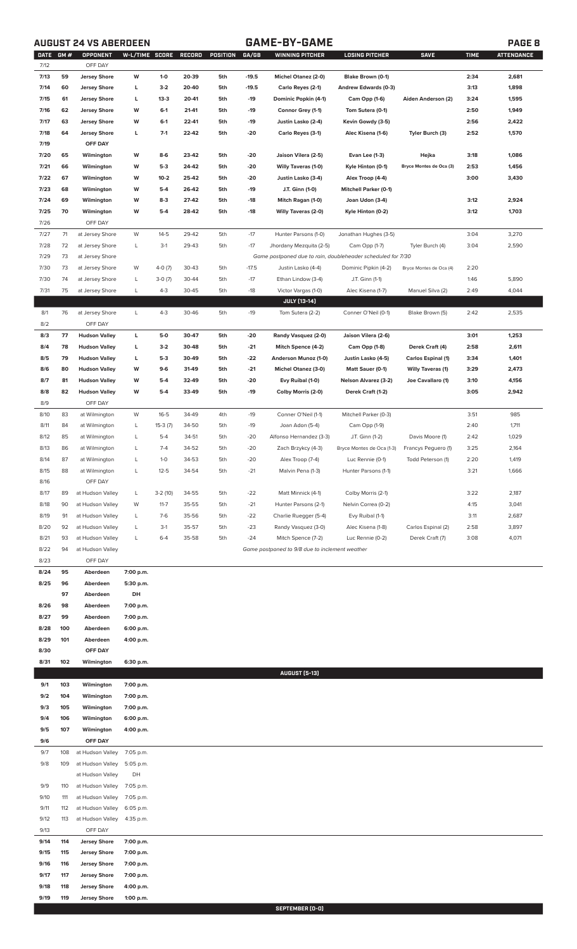### **AUGUST 24 VS ABERDEEN GAME-BY-GAME PAGE 8**

| <b>DATE</b>  | GM# | OPPONENT             | W-L/TIME SCORE |           | RECORD | POSITION | GA/GB   | WINNING PITCHER                                             | <b>LOSING PITCHER</b>        | <b>SAVE</b>               | <b>TIME</b> | <b>ATTENDANCE</b> |
|--------------|-----|----------------------|----------------|-----------|--------|----------|---------|-------------------------------------------------------------|------------------------------|---------------------------|-------------|-------------------|
| 7/12         |     | OFF DAY              |                |           |        |          |         |                                                             |                              |                           |             |                   |
| 7/13         | 59  | <b>Jersey Shore</b>  | W              | $1 - 0$   | 20-39  | 5th      | $-19.5$ | Michel Otanez (2-0)                                         | Blake Brown (0-1)            |                           | 2:34        | 2,681             |
| 7/14         | 60  | <b>Jersey Shore</b>  | L              | $3-2$     | 20-40  | 5th      | $-19.5$ | Carlo Reyes (2-1)                                           | Andrew Edwards (0-3)         |                           | 3:13        | 1,898             |
| 7/15         | 61  | <b>Jersey Shore</b>  | L              | $13-3$    | 20-41  | 5th      | -19     | Dominic Popkin (4-1)                                        | Cam Opp (1-6)                | Aiden Anderson (2)        | 3:24        | 1,595             |
| 7/16         | 62  | <b>Jersey Shore</b>  | W              | $6-1$     | 21-41  | 5th      | -19     | Connor Grey (1-1)                                           | Tom Sutera (0-1)             |                           | 2:50        | 1,949             |
| 7/17         | 63  | <b>Jersey Shore</b>  | W              | $6-1$     | 22-41  | 5th      | -19     | Justin Lasko (2-4)                                          | Kevin Gowdy (3-5)            |                           | 2:56        | 2,422             |
| 7/18         | 64  | <b>Jersey Shore</b>  | L              | $7-1$     | 22-42  | 5th      | $-20$   | Carlo Reyes (3-1)                                           | Alec Kisena (1-6)            | Tyler Burch (3)           | 2:52        | 1,570             |
| 7/19         |     | OFF DAY              |                |           |        |          |         |                                                             |                              |                           |             |                   |
| 7/20         | 65  | Wilmington           | W              | $8-6$     | 23-42  | 5th      | $-20$   | Jaison Vilera (2-5)                                         | Evan Lee (1-3)               | Hejka                     | 3:18        | 1,086             |
| 7/21         | 66  | Wilmington           | W              | $5-3$     | 24-42  | 5th      | $-20$   | <b>Willy Taveras (1-0)</b>                                  | Kyle Hinton (0-1)            | Bryce Montes de Oca (3)   | 2:53        | 1,456             |
| 7/22         | 67  | Wilmington           | W              | $10 - 2$  | 25-42  | 5th      | $-20$   | Justin Lasko (3-4)                                          | Alex Troop (4-4)             |                           | 3:00        | 3,430             |
| 7/23         | 68  | Wilmington           | W              | $5-4$     | 26-42  | 5th      | -19     | J.T. Ginn (1-0)                                             | <b>Mitchell Parker (0-1)</b> |                           |             |                   |
| 7/24         | 69  | Wilmington           | W              | $8-3$     | 27-42  | 5th      | -18     | Mitch Ragan (1-0)                                           | Joan Udon (3-4)              |                           | 3:12        | 2,924             |
| 7/25         | 70  | Wilmington           | W              | $5-4$     | 28-42  | 5th      | $-18$   | <b>Willy Taveras (2-0)</b>                                  | Kyle Hinton (0-2)            |                           | 3:12        | 1,703             |
| 7/26         |     | OFF DAY              |                |           |        |          |         |                                                             |                              |                           |             |                   |
| 7/27         | 71  | at Jersey Shore      | W              | $14-5$    | 29-42  | 5th      | $-17$   | Hunter Parsons (1-0)                                        | Jonathan Hughes (3-5)        |                           | 3:04        | 3,270             |
| 7/28         | 72  | at Jersey Shore      | L              | $3-1$     | 29-43  | 5th      | $-17$   | Jhordany Mezquita (2-5)                                     | Cam Opp (1-7)                | Tyler Burch (4)           | 3:04        | 2,590             |
| 7/29         | 73  | at Jersey Shore      |                |           |        |          |         | Game postponed due to rain, doubleheader scheduled for 7/30 |                              |                           |             |                   |
| 7/30         | 73  | at Jersey Shore      | W              | $4-0(7)$  | 30-43  | 5th      | $-17.5$ | Justin Lasko (4-4)                                          | Dominic Pipkin (4-2)         | Bryce Montes de Oca (4)   | 2:20        |                   |
| 7/30         | 74  | at Jersey Shore      | L              | $3-0(7)$  | 30-44  | 5th      | $-17$   | Ethan Lindow (3-4)                                          | J.T. Ginn (1-1)              |                           | 1:46        | 5,890             |
| 7/31         | 75  | at Jersey Shore      | L              | $4 - 3$   | 30-45  | 5th      | $-18$   | Victor Vargas (1-0)                                         | Alec Kisena (1-7)            | Manuel Silva (2)          | 2:49        | 4,044             |
|              |     |                      |                |           |        |          |         | <b>JULY [13-14]</b>                                         |                              |                           |             |                   |
| 8/1          | 76  | at Jersey Shore      | L              | $4 - 3$   | 30-46  | 5th      | $-19$   | Tom Sutera (2-2)                                            | Conner O'Neil (0-1)          | Blake Brown (5)           | 2:42        | 2,535             |
| 8/2          |     | OFF DAY              |                |           |        |          |         |                                                             |                              |                           |             |                   |
| 8/3          | 77  | <b>Hudson Valley</b> | L              | $5-0$     | 30-47  | 5th      | -20     | Randy Vasquez (2-0)                                         | Jaison Vilera (2-6)          |                           | 3:01        | 1,253             |
| 8/4          | 78  | <b>Hudson Valley</b> | L              | $3-2$     | 30-48  | 5th      | $-21$   | Mitch Spence (4-2)                                          | Cam Opp (1-8)                | Derek Craft (4)           | 2:58        | 2,611             |
| 8/5          | 79  | <b>Hudson Valley</b> | L              | $5-3$     | 30-49  | 5th      | $-22$   | Anderson Munoz (1-0)                                        | Justin Lasko (4-5)           | <b>Carlos Espinal (1)</b> | 3:34        | 1,401             |
| 8/6          | 80  | <b>Hudson Valley</b> | W              | $9-6$     | 31-49  | 5th      | $-21$   | Michel Otanez (3-0)                                         | Matt Sauer (0-1)             | <b>Willy Taveras (1)</b>  | 3:29        | 2,473             |
| 8/7          | 81  | <b>Hudson Valley</b> | W              | $5-4$     | 32-49  | 5th      | -20     | Evy Ruibal (1-0)                                            | <b>Nelson Alvarez (3-2)</b>  | Joe Cavallaro (1)         | 3:10        | 4,156             |
| 8/8          | 82  | <b>Hudson Valley</b> | W              | $5-4$     | 33-49  | 5th      | $-19$   | Colby Morris (2-0)                                          | Derek Craft (1-2)            |                           | 3:05        | 2,942             |
| 8/9          |     | OFF DAY              |                |           |        |          |         |                                                             |                              |                           |             |                   |
| 8/10         | 83  | at Wilmington        | W              | $16 - 5$  | 34-49  | 4th      | $-19$   | Conner O'Neil (1-1)                                         | Mitchell Parker (0-3)        |                           | 3:51        | 985               |
| 8/11         | 84  | at Wilmington        | L              | $15-3(7)$ | 34-50  | 5th      | $-19$   | Joan Adon (5-4)                                             | Cam Opp (1-9)                |                           | 2:40        | 1,711             |
| 8/12         | 85  | at Wilmington        | L              | $5 - 4$   | 34-51  | 5th      | $-20$   | Alfonso Hernandez (3-3)                                     | J.T. Ginn (1-2)              | Davis Moore (1)           | 2:42        | 1,029             |
| 8/13         | 86  |                      | L              | $7 - 4$   | 34-52  | 5th      | $-20$   | Zach Brzykcy (4-3)                                          |                              | Francys Peguero (1)       | 3:25        | 2,164             |
|              |     | at Wilmington        |                |           |        |          |         |                                                             | Bryce Montes de Oca (1-3)    |                           |             |                   |
| 8/14         | 87  | at Wilmington        | L              | $1 - 0$   | 34-53  | 5th      | $-20$   | Alex Troop (7-4)                                            | Luc Rennie (0-1)             | Todd Peterson (1)         | 2:20        | 1,419             |
| 8/15         | 88  | at Wilmington        | L              | $12 - 5$  | 34-54  | 5th      | $-21$   | Malvin Pena (1-3)                                           | Hunter Parsons (1-1)         |                           | 3:21        | 1,666             |
| 8/16         |     | OFF DAY              |                |           |        |          |         |                                                             |                              |                           |             |                   |
| 8/17         | 89  | at Hudson Valley     | L              | $3-2(10)$ | 34-55  | 5th      | $-22$   | Matt Minnick (4-1)                                          | Colby Morris (2-1)           |                           | 3:22        | 2,187             |
| 8/18         | 90  | at Hudson Valley     | W              | $11 - 7$  | 35-55  | 5th      | $-21$   | Hunter Parsons (2-1)                                        | Nelvin Correa (0-2)          |                           | 4:15        | 3,041             |
| 8/19         | 91  | at Hudson Valley     | L              | $7-6$     | 35-56  | 5th      | $-22$   | Charlie Ruegger (5-4)                                       | Evy Ruibal (1-1)             |                           | 3:11        | 2,687             |
| 8/20         | 92  | at Hudson Valley     | L              | $3-1$     | 35-57  | 5th      | $-23$   | Randy Vasquez (3-0)                                         | Alec Kisena (1-8)            | Carlos Espinal (2)        | 2:58        | 3,897             |
| 8/21         | 93  | at Hudson Valley     | L              | $6 - 4$   | 35-58  | 5th      | $-24$   | Mitch Spence (7-2)                                          | Luc Rennie (0-2)             | Derek Craft (7)           | 3:08        | 4,071             |
| 8/22         | 94  | at Hudson Valley     |                |           |        |          |         | Game postponed to 9/8 due to inclement weather              |                              |                           |             |                   |
| 8/23         |     | OFF DAY              |                |           |        |          |         |                                                             |                              |                           |             |                   |
| 8/24         | 95  | Aberdeen             | 7:00 p.m.      |           |        |          |         |                                                             |                              |                           |             |                   |
| 8/25         | 96  | Aberdeen             | 5:30 p.m.      |           |        |          |         |                                                             |                              |                           |             |                   |
|              | 97  | Aberdeen             | DH             |           |        |          |         |                                                             |                              |                           |             |                   |
| 8/26         | 98  | Aberdeen             | 7:00 p.m.      |           |        |          |         |                                                             |                              |                           |             |                   |
| 8/27         | 99  | Aberdeen             | 7:00 p.m.      |           |        |          |         |                                                             |                              |                           |             |                   |
| 8/28         | 100 | Aberdeen             | 6:00 p.m.      |           |        |          |         |                                                             |                              |                           |             |                   |
| 8/29         | 101 | Aberdeen             | 4:00 p.m.      |           |        |          |         |                                                             |                              |                           |             |                   |
| 8/30         |     | OFF DAY              |                |           |        |          |         |                                                             |                              |                           |             |                   |
| 8/31         | 102 | Wilmington           | 6:30 p.m.      |           |        |          |         |                                                             |                              |                           |             |                   |
|              |     |                      |                |           |        |          |         | <b>AUGUST [5-13]</b>                                        |                              |                           |             |                   |
| 9/1          | 103 | Wilmington           | 7:00 p.m.      |           |        |          |         |                                                             |                              |                           |             |                   |
| 9/2          | 104 | Wilmington           | 7:00 p.m.      |           |        |          |         |                                                             |                              |                           |             |                   |
| 9/3          | 105 | Wilmington           | 7:00 p.m.      |           |        |          |         |                                                             |                              |                           |             |                   |
| 9/4          | 106 | Wilmington           | 6:00 p.m.      |           |        |          |         |                                                             |                              |                           |             |                   |
| 9/5          | 107 | Wilmington           | 4:00 p.m.      |           |        |          |         |                                                             |                              |                           |             |                   |
| 9/6          |     | OFF DAY              |                |           |        |          |         |                                                             |                              |                           |             |                   |
| 9/7          | 108 | at Hudson Valley     | 7:05 p.m.      |           |        |          |         |                                                             |                              |                           |             |                   |
| 9/8          | 109 | at Hudson Valley     | 5:05 p.m.      |           |        |          |         |                                                             |                              |                           |             |                   |
|              |     | at Hudson Valley     | DH             |           |        |          |         |                                                             |                              |                           |             |                   |
| 9/9          | 110 | at Hudson Valley     | 7:05 p.m.      |           |        |          |         |                                                             |                              |                           |             |                   |
| 9/10         | 111 |                      | 7:05 p.m.      |           |        |          |         |                                                             |                              |                           |             |                   |
|              |     | at Hudson Valley     |                |           |        |          |         |                                                             |                              |                           |             |                   |
| 9/11<br>9/12 | 112 | at Hudson Valley     | 6:05 p.m.      |           |        |          |         |                                                             |                              |                           |             |                   |
|              | 113 | at Hudson Valley     | 4:35 p.m.      |           |        |          |         |                                                             |                              |                           |             |                   |
| 9/13         |     | OFF DAY              |                |           |        |          |         |                                                             |                              |                           |             |                   |
| 9/14         | 114 | <b>Jersey Shore</b>  | 7:00 p.m.      |           |        |          |         |                                                             |                              |                           |             |                   |
| 9/15         | 115 | <b>Jersey Shore</b>  | 7:00 p.m.      |           |        |          |         |                                                             |                              |                           |             |                   |
| 9/16         | 116 | <b>Jersey Shore</b>  | 7:00 p.m.      |           |        |          |         |                                                             |                              |                           |             |                   |
| 9/17         | 117 | <b>Jersey Shore</b>  | 7:00 p.m.      |           |        |          |         |                                                             |                              |                           |             |                   |
| 9/18         | 118 | <b>Jersey Shore</b>  | 4:00 p.m.      |           |        |          |         |                                                             |                              |                           |             |                   |
| 9/19         | 119 | Jersey Shore         | 1:00 p.m.      |           |        |          |         |                                                             |                              |                           |             |                   |

**SEPTEMBER (0-0)**